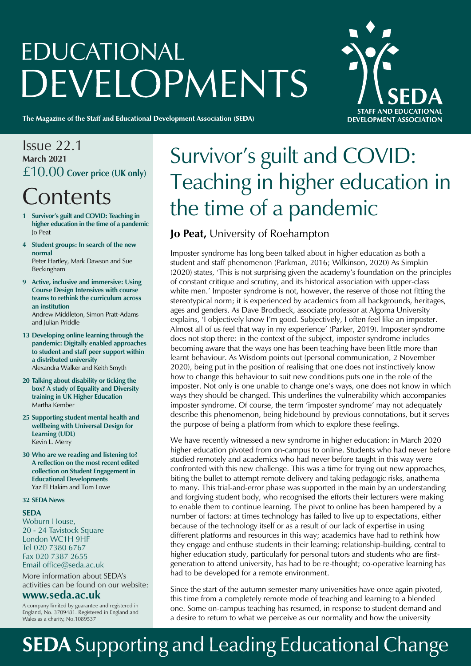# EDUCATIONAL **DEVELOPMENTS**

The Magazine of the Staff and Educational Development Association (SEDA)



## Issue 22.1 **March 2021**  £10.00 **Cover price (UK only)**

# **Contents**

- **1 Survivor's guilt and COVID: Teaching in higher education in the time of a pandemic** Jo Peat
- **4 Student groups: In search of the new normal**  Peter Hartley, Mark Dawson and Sue Beckingham
- **9 Active, inclusive and immersive: Using Course Design Intensives with course teams to rethink the curriculum across an institution** Andrew Middleton, Simon Pratt-Adams and Julian Priddle
- **13 Developing online learning through the pandemic: Digitally enabled approaches to student and staff peer support within a distributed university** Alexandra Walker and Keith Smyth
- **20 Talking about disability or ticking the box? A study of Equality and Diversity training in UK Higher Education** Martha Kember
- **25 Supporting student mental health and wellbeing with Universal Design for Learning (UDL)** Kevin L. Merry
- **30 Who are we reading and listening to? A reflection on the most recent edited collection on Student Engagement in Educational Developments** Yaz El Hakim and Tom Lowe

#### **32 SEDA News**

#### **SEDA**

Woburn House, 20 - 24 Tavistock Square London WC1H 9HF Tel 020 7380 6767 Fax 020 7387 2655 Email office@seda.ac.uk

More information about SEDA's activities can be found on our website:

#### **www.seda.ac.uk**

A company limited by guarantee and registered in England, No. 3709481. Registered in England and Wales as a charity, No.1089537

# Survivor's guilt and COVID: Teaching in higher education in the time of a pandemic

### **Jo Peat,** University of Roehampton

Imposter syndrome has long been talked about in higher education as both a student and staff phenomenon (Parkman, 2016; Wilkinson, 2020) As Simpkin (2020) states, 'This is not surprising given the academy's foundation on the principles of constant critique and scrutiny, and its historical association with upper-class white men.' Imposter syndrome is not, however, the reserve of those not fitting the stereotypical norm; it is experienced by academics from all backgrounds, heritages, ages and genders. As Dave Brodbeck, associate professor at Algoma University explains, 'I objectively know I'm good. Subjectively, I often feel like an imposter. Almost all of us feel that way in my experience' (Parker, 2019). Imposter syndrome does not stop there: in the context of the subject, imposter syndrome includes becoming aware that the ways one has been teaching have been little more than learnt behaviour. As Wisdom points out (personal communication, 2 November 2020), being put in the position of realising that one does not instinctively know how to change this behaviour to suit new conditions puts one in the role of the imposter. Not only is one unable to change one's ways, one does not know in which ways they should be changed. This underlines the vulnerability which accompanies imposter syndrome. Of course, the term 'imposter syndrome' may not adequately describe this phenomenon, being hidebound by previous connotations, but it serves the purpose of being a platform from which to explore these feelings.

We have recently witnessed a new syndrome in higher education: in March 2020 higher education pivoted from on-campus to online. Students who had never before studied remotely and academics who had never before taught in this way were confronted with this new challenge. This was a time for trying out new approaches, biting the bullet to attempt remote delivery and taking pedagogic risks, anathema to many. This trial-and-error phase was supported in the main by an understanding and forgiving student body, who recognised the efforts their lecturers were making to enable them to continue learning. The pivot to online has been hampered by a number of factors: at times technology has failed to live up to expectations, either because of the technology itself or as a result of our lack of expertise in using different platforms and resources in this way; academics have had to rethink how they engage and enthuse students in their learning; relationship-building, central to higher education study, particularly for personal tutors and students who are firstgeneration to attend university, has had to be re-thought; co-operative learning has had to be developed for a remote environment.

Since the start of the autumn semester many universities have once again pivoted, this time from a completely remote mode of teaching and learning to a blended one. Some on-campus teaching has resumed, in response to student demand and a desire to return to what we perceive as our normality and how the university

# **SEDA** Supporting and Leading Educational Change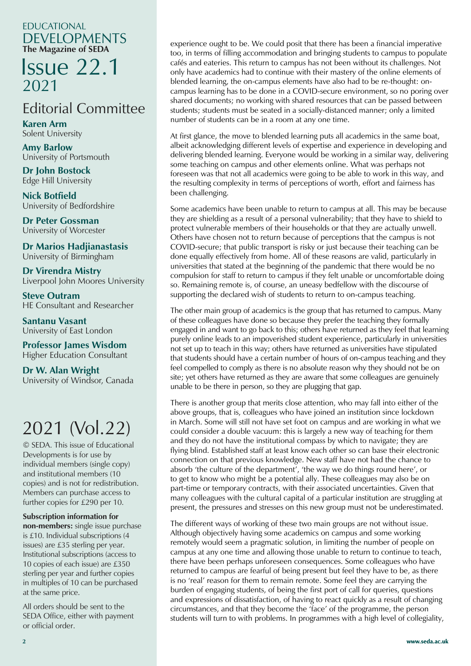#### EDUCATIONAL DEVELOPMENTS **The Magazine of SEDA**

# **Issue 22.1**<br>2021 2021

# Editorial Committee

**Karen Arm** Solent University **Solent** 

**Amy Barlow**<br>University of Barton University of Portsmouth

**Edge Hill University Dr John Bostock**

Queen Mary University of London **University of Bedfordshire Nick Botfield**

**Dr Peter Gossman** University of Worcester

**Dr Marios Hadjianastasis University of Birmingham** 

**Dr Virendra Mistry Ellie Russell** Liverpool John Moores University University of Birmingham<br> **Dr Virendra Mistry**<br>
Liverpool John Moores Univer<br> **Steve Outram**<br>
HE Consultant and Researche<br> **Santanu Vasant**<br>
University of East London<br> **Professor James Wisdom**<br>
Higher Education Consultant<br>

**Steve Outram** HE Consultant and Researcher

**Santanu Vasant** University of East London

**Professor James Wisdom Professor James Wisdom** Higher Education Consultant

**Dr W. Alan Wright Dr W. Alan Wright** University of Windsor, Canada University of Windsor, Canada

# 2021 (Vol.22)

© SEDA. This issue of Educational Developments is for use by individual members (single copy) and institutional members (10 copies) and is not for redistribution. Members can purchase access to  $\frac{1}{2}$ further copies for £290 per 10.

#### **Subscription information for**

**Profit Finders.** Single issue purched is £10. Individual subscriptions (4  $15 \times 10$ . Individual subscriptions (1) issues) are £35 sterling per year. for  $299$  sterling per year.<br>Institutional subscriptions (access to 10 copies of each issue) are £350 sterling per year and further copies in multiples of 10 can be purchased  $\mathbf{R}$  and  $\mathbf{S}$  members and  $\mathbf{S}$ **non-members:** single issue purchase at the same price.

All orders should be sent to the SEDA Office, either with payment or official order.

experience ought to be. We could posit that there has been a financial imperative too, in terms of filling accommodation and bringing students to campus to populate cafés and eateries. This return to campus has not been without its challenges. Not only have academics had to continue with their mastery of the online elements of blended learning, the on-campus elements have also had to be re-thought: oncampus learning has to be done in a COVID-secure environment, so no poring over shared documents; no working with shared resources that can be passed between students; students must be seated in a socially-distanced manner; only a limited number of students can be in a room at any one time.

At first glance, the move to blended learning puts all academics in the same boat, albeit acknowledging different levels of expertise and experience in developing and delivering blended learning. Everyone would be working in a similar way, delivering some teaching on campus and other elements online. What was perhaps not foreseen was that not all academics were going to be able to work in this way, and the resulting complexity in terms of perceptions of worth, effort and fairness has been challenging.

Some academics have been unable to return to campus at all. This may be because they are shielding as a result of a personal vulnerability; that they have to shield to protect vulnerable members of their households or that they are actually unwell. Others have chosen not to return because of perceptions that the campus is not COVID-secure; that public transport is risky or just because their teaching can be done equally effectively from home. All of these reasons are valid, particularly in universities that stated at the beginning of the pandemic that there would be no compulsion for staff to return to campus if they felt unable or uncomfortable doing so. Remaining remote is, of course, an uneasy bedfellow with the discourse of supporting the declared wish of students to return to on-campus teaching.

The other main group of academics is the group that has returned to campus. Many of these colleagues have done so because they prefer the teaching they formally engaged in and want to go back to this; others have returned as they feel that learning purely online leads to an impoverished student experience, particularly in universities not set up to teach in this way; others have returned as universities have stipulated that students should have a certain number of hours of on-campus teaching and they feel compelled to comply as there is no absolute reason why they should not be on site; yet others have returned as they are aware that some colleagues are genuinely unable to be there in person, so they are plugging that gap.

There is another group that merits close attention, who may fall into either of the above groups, that is, colleagues who have joined an institution since lockdown in March. Some will still not have set foot on campus and are working in what we could consider a double vacuum: this is largely a new way of teaching for them and they do not have the institutional compass by which to navigate; they are flying blind. Established staff at least know each other so can base their electronic connection on that previous knowledge. New staff have not had the chance to absorb 'the culture of the department', 'the way we do things round here', or to get to know who might be a potential ally. These colleagues may also be on part-time or temporary contracts, with their associated uncertainties. Given that many colleagues with the cultural capital of a particular institution are struggling at present, the pressures and stresses on this new group must not be underestimated.

The different ways of working of these two main groups are not without issue. Although objectively having some academics on campus and some working remotely would seem a pragmatic solution, in limiting the number of people on campus at any one time and allowing those unable to return to continue to teach, there have been perhaps unforeseen consequences. Some colleagues who have returned to campus are fearful of being present but feel they have to be, as there is no 'real' reason for them to remain remote. Some feel they are carrying the burden of engaging students, of being the first port of call for queries, questions and expressions of dissatisfaction, of having to react quickly as a result of changing circumstances, and that they become the 'face' of the programme, the person students will turn to with problems. In programmes with a high level of collegiality,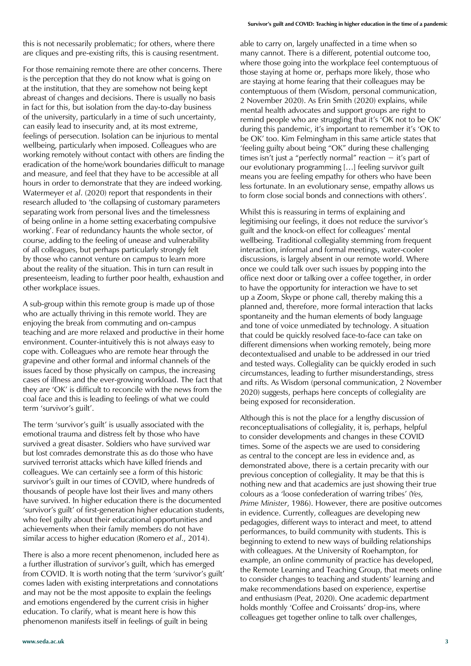this is not necessarily problematic; for others, where there are cliques and pre-existing rifts, this is causing resentment.

For those remaining remote there are other concerns. There is the perception that they do not know what is going on at the institution, that they are somehow not being kept abreast of changes and decisions. There is usually no basis in fact for this, but isolation from the day-to-day business of the university, particularly in a time of such uncertainty, can easily lead to insecurity and, at its most extreme, feelings of persecution. Isolation can be injurious to mental wellbeing, particularly when imposed. Colleagues who are working remotely without contact with others are finding the eradication of the home/work boundaries difficult to manage and measure, and feel that they have to be accessible at all hours in order to demonstrate that they are indeed working. Watermeyer *et al*. (2020) report that respondents in their research alluded to 'the collapsing of customary parameters separating work from personal lives and the timelessness of being online in a home setting exacerbating compulsive working'. Fear of redundancy haunts the whole sector, of course, adding to the feeling of unease and vulnerability of all colleagues, but perhaps particularly strongly felt by those who cannot venture on campus to learn more about the reality of the situation. This in turn can result in presenteeism, leading to further poor health, exhaustion and other workplace issues.

A sub-group within this remote group is made up of those who are actually thriving in this remote world. They are enjoying the break from commuting and on-campus teaching and are more relaxed and productive in their home environment. Counter-intuitively this is not always easy to cope with. Colleagues who are remote hear through the grapevine and other formal and informal channels of the issues faced by those physically on campus, the increasing cases of illness and the ever-growing workload. The fact that they are 'OK' is difficult to reconcile with the news from the coal face and this is leading to feelings of what we could term 'survivor's guilt'.

The term 'survivor's guilt' is usually associated with the emotional trauma and distress felt by those who have survived a great disaster. Soldiers who have survived war but lost comrades demonstrate this as do those who have survived terrorist attacks which have killed friends and colleagues. We can certainly see a form of this historic survivor's guilt in our times of COVID, where hundreds of thousands of people have lost their lives and many others have survived. In higher education there is the documented 'survivor's guilt' of first-generation higher education students, who feel guilty about their educational opportunities and achievements when their family members do not have similar access to higher education (Romero *et al*., 2014).

There is also a more recent phenomenon, included here as a further illustration of survivor's guilt, which has emerged from COVID. It is worth noting that the term 'survivor's guilt' comes laden with existing interpretations and connotations and may not be the most apposite to explain the feelings and emotions engendered by the current crisis in higher education. To clarify, what is meant here is how this phenomenon manifests itself in feelings of guilt in being

able to carry on, largely unaffected in a time when so many cannot. There is a different, potential outcome too, where those going into the workplace feel contemptuous of those staying at home or, perhaps more likely, those who are staying at home fearing that their colleagues may be contemptuous of them (Wisdom, personal communication, 2 November 2020). As Erin Smith (2020) explains, while mental health advocates and support groups are right to remind people who are struggling that it's 'OK not to be OK' during this pandemic, it's important to remember it's 'OK to be OK' too. Kim Felmingham in this same article states that 'feeling guilty about being "OK" during these challenging times isn't just a "perfectly normal" reaction − it's part of our evolutionary programming […] feeling survivor guilt means you are feeling empathy for others who have been less fortunate. In an evolutionary sense, empathy allows us to form close social bonds and connections with others'.

Whilst this is reassuring in terms of explaining and legitimising our feelings, it does not reduce the survivor's guilt and the knock-on effect for colleagues' mental wellbeing. Traditional collegiality stemming from frequent interaction, informal and formal meetings, water-cooler discussions, is largely absent in our remote world. Where once we could talk over such issues by popping into the office next door or talking over a coffee together, in order to have the opportunity for interaction we have to set up a Zoom, Skype or phone call, thereby making this a planned and, therefore, more formal interaction that lacks spontaneity and the human elements of body language and tone of voice unmediated by technology. A situation that could be quickly resolved face-to-face can take on different dimensions when working remotely, being more decontextualised and unable to be addressed in our tried and tested ways. Collegiality can be quickly eroded in such circumstances, leading to further misunderstandings, stress and rifts. As Wisdom (personal communication, 2 November 2020) suggests, perhaps here concepts of collegiality are being exposed for reconsideration.

Although this is not the place for a lengthy discussion of reconceptualisations of collegiality, it is, perhaps, helpful to consider developments and changes in these COVID times. Some of the aspects we are used to considering as central to the concept are less in evidence and, as demonstrated above, there is a certain precarity with our previous conception of collegiality. It may be that this is nothing new and that academics are just showing their true colours as a 'loose confederation of warring tribes' (*Yes, Prime Minister*, 1986). However, there are positive outcomes in evidence. Currently, colleagues are developing new pedagogies, different ways to interact and meet, to attend performances, to build community with students. This is beginning to extend to new ways of building relationships with colleagues. At the University of Roehampton, for example, an online community of practice has developed, the Remote Learning and Teaching Group, that meets online to consider changes to teaching and students' learning and make recommendations based on experience, expertise and enthusiasm (Peat, 2020). One academic department holds monthly 'Coffee and Croissants' drop-ins, where colleagues get together online to talk over challenges,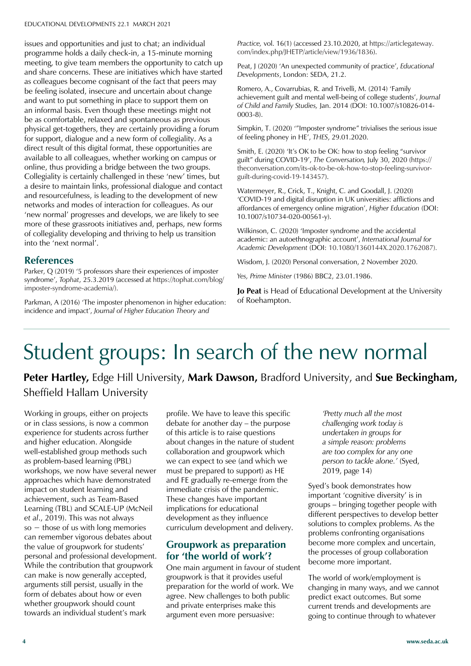issues and opportunities and just to chat; an individual **The Magazine of SEDA** programme holds a daily check-in, a 15-minute morning meeting, to give team members the opportunity to catch up<br>and share concerns. These are initiatives which have started as colleagues become cognisant of the fact that peers may<br>be feeling isolated, insecure and uncertain about change and want to pat sometimg in place to support them on **Amy Barlow** physical get-togethers, they are certainly providing a forum priysical get-togethers, they are certainly providing a forth for support, dialogue and a new form of collegiality. As a direct result of this digital format, these opportunities are available to all colleagues, whether working on campus or Collegiality is certainly challenged in these 'new' times, but a desire to maintain links, professional dialogue and contact networks and modes of interaction for colleagues. As our 'new normal' progresses and develops, we are likely to see of collegiality developing and thriving to help us transition into the 'next normal'. meeting, to give team members the opportunity to catch up as colleagues become cognisant of the fact that peers may and want to put something in place to support them on be as comfortable, relaxed and spontaneous as previous online, thus providing a bridge between the two groups. and resourcefulness, is leading to the development of new more of these grassroots initiatives and, perhaps, new forms

#### **References**

Parker, Q (2019) '5 professors share their experiences of imposter **Ellie Russell** imposter-syndrome-academia/). syndrome', *Tophat*, 25.3.2019 (accessed at https://tophat.com/blog/

nation of Students of Parkman, A (2016) 'The imposter phenomenon in higher education: incidence and impact', *Journal of Higher Education Theory and* 

*Practice,* vol. 16(1) (accessed 23.10.2020, at https://articlegateway. com/index.php/JHETP/article/view/1936/1836).

Peat, J (2020) 'An unexpected community of practice', *Educational Developments*, London: SEDA, 21.2.

Romero, A., Covarrubias, R. and Trivelli, M. (2014) 'Family achievement guilt and mental well-being of college students', *Journal of Child and Family Studies,* Jan. 2014 (DOI: 10.1007/s10826-014- 0003-8).

Simpkin, T. (2020) '"Imposter syndrome" trivialises the serious issue of feeling phoney in HE', *THES*, 29.01.2020.

Smith, E. (2020) 'It's OK to be OK: how to stop feeling "survivor guilt" during COVID-19', *The Conversation,* July 30, 2020 (https:// theconversation.com/its-ok-to-be-ok-how-to-stop-feeling-survivorguilt-during-covid-19-143457).

Watermeyer, R., Crick, T., Knight, C. and Goodall, J. (2020) 'COVID-19 and digital disruption in UK universities: afflictions and affordances of emergency online migration', *Higher Education* (DOI: 10.1007/s10734-020-00561-y).

Wilkinson, C. (2020) 'Imposter syndrome and the accidental academic: an autoethnographic account', *International Journal for Academic Development* (DOI: 10.1080/1360144X.2020.1762087).

Wisdom, J. (2020) Personal conversation, 2 November 2020.

*Yes, Prime Minister* (1986) BBC2, 23.01.1986.

**Jo Peat** is Head of Educational Development at the University of Roehampton.

### **Professor James Wisdom** Student groups: In search of the new normal

Peter Hartley, Edge Hill University, Mark Dawson, Bradford University, and Sue Beckingham, Sheffield Hallam University

or in class sessions, is now a common<br>experience for students across further and higher education. Alongside wen established group methods states as prostem sased tearning (1 SE) approaches which have demonstrated  $\frac{11}{2}$  impact on student learning and achievement, such as Team-Based Learning (TBL) and SCALE-UP (McNeil et al., 2019). This was not always so  $-$  those of us with long memories can remember vigorous debates about the value of groupwork for students' While the contribution that groupwork can make is now generally accepted, arguments still persist, usually in the form of debates about how or even receive compromissional comprise of *Eugene* towards an individual student's mark Working in groups, either on projects or in class sessions, is now a common well-established group methods such personal and professional development. whether groupwork should count

profile. We have to leave this specific debate for another day – the purpose of this article is to raise questions about changes in the nature of student collaboration and groupwork which we can expect to see (and which we must be prepared to support) as HE and FE gradually re-emerge from the immediate crisis of the pandemic. These changes have important implications for educational development as they influence curriculum development and delivery.

#### **Groupwork as preparation for 'the world of work'?**

One main argument in favour of student groupwork is that it provides useful preparation for the world of work. We agree. New challenges to both public and private enterprises make this argument even more persuasive:

*'Pretty much all the most challenging work today is undertaken in groups for a simple reason: problems are too complex for any one person to tackle alone.'* (Syed, 2019, page 14)

Syed's book demonstrates how important 'cognitive diversity' is in groups – bringing together people with different perspectives to develop better solutions to complex problems. As the problems confronting organisations become more complex and uncertain, the processes of group collaboration become more important.

The world of work/employment is changing in many ways, and we cannot predict exact outcomes. But some current trends and developments are going to continue through to whatever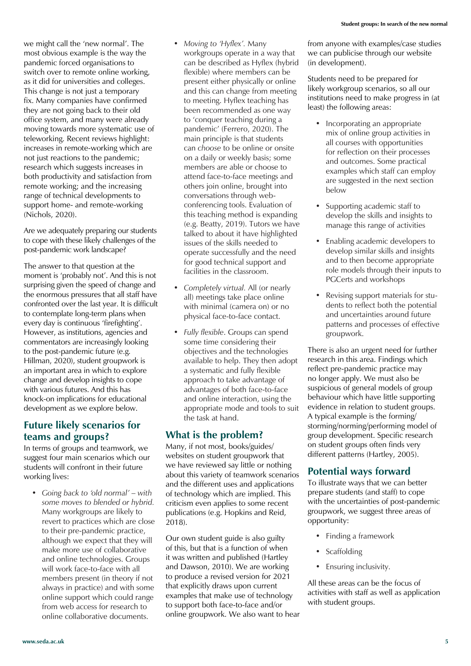we might call the 'new normal'. The most obvious example is the way the pandemic forced organisations to switch over to remote online working, as it did for universities and colleges. This change is not just a temporary fix. Many companies have confirmed they are not going back to their old office system, and many were already moving towards more systematic use of teleworking. Recent reviews highlight: increases in remote-working which are not just reactions to the pandemic: research which suggests increases in both productivity and satisfaction from remote working; and the increasing range of technical developments to support home- and remote-working (Nichols, 2020).

Are we adequately preparing our students to cope with these likely challenges of the post-pandemic work landscape?

The answer to that question at the moment is 'probably not'. And this is not surprising given the speed of change and the enormous pressures that all staff have confronted over the last year. It is difficult to contemplate long-term plans when every day is continuous 'firefighting'. However, as institutions, agencies and commentators are increasingly looking to the post-pandemic future (e.g. Hillman, 2020), student groupwork is an important area in which to explore change and develop insights to cope with various futures. And this has knock-on implications for educational development as we explore below.

#### **Future likely scenarios for teams and groups?**

In terms of groups and teamwork, we suggest four main scenarios which our students will confront in their future working lives:

*• Going back to 'old normal' – with some moves to blended or hybrid.*  Many workgroups are likely to revert to practices which are close to their pre-pandemic practice, although we expect that they will make more use of collaborative and online technologies. Groups will work face-to-face with all members present (in theory if not always in practice) and with some online support which could range from web access for research to online collaborative documents.

- *• Moving to 'Hyflex'.* Many workgroups operate in a way that can be described as Hyflex (hybrid flexible) where members can be present either physically or online and this can change from meeting to meeting. Hyflex teaching has been recommended as one way to 'conquer teaching during a pandemic' (Ferrero, 2020). The main principle is that students can *choose* to be online or onsite on a daily or weekly basis; some members are able or choose to attend face-to-face meetings and others join online, brought into conversations through webconferencing tools. Evaluation of this teaching method is expanding (e.g. Beatty, 2019). Tutors we have talked to about it have highlighted issues of the skills needed to operate successfully and the need for good technical support and facilities in the classroom.
- *• Completely virtual.* All (or nearly all) meetings take place online with minimal (camera on) or no physical face-to-face contact.
- *• Fully flexible*. Groups can spend some time considering their objectives and the technologies available to help. They then adopt a systematic and fully flexible approach to take advantage of advantages of both face-to-face and online interaction, using the appropriate mode and tools to suit the task at hand.

#### **What is the problem?**

Many, if not most, books/guides/ websites on student groupwork that we have reviewed say little or nothing about this variety of teamwork scenarios and the different uses and applications of technology which are implied. This criticism even applies to some recent publications (e.g. Hopkins and Reid, 2018).

Our own student guide is also guilty of this, but that is a function of when it was written and published (Hartley and Dawson, 2010). We are working to produce a revised version for 2021 that explicitly draws upon current examples that make use of technology to support both face-to-face and/or online groupwork. We also want to hear from anyone with examples/case studies we can publicise through our website (in development).

Students need to be prepared for likely workgroup scenarios, so all our institutions need to make progress in (at least) the following areas:

- Incorporating an appropriate mix of online group activities in all courses with opportunities for reflection on their processes and outcomes. Some practical examples which staff can employ are suggested in the next section below
- Supporting academic staff to develop the skills and insights to manage this range of activities
- Enabling academic developers to develop similar skills and insights and to then become appropriate role models through their inputs to PGCerts and workshops
- Revising support materials for students to reflect both the potential and uncertainties around future patterns and processes of effective groupwork.

There is also an urgent need for further research in this area. Findings which reflect pre-pandemic practice may no longer apply. We must also be suspicious of general models of group behaviour which have little supporting evidence in relation to student groups. A typical example is the forming/ storming/norming/performing model of group development. Specific research on student groups often finds very different patterns (Hartley, 2005).

### **Potential ways forward**

To illustrate ways that we can better prepare students (and staff) to cope with the uncertainties of post-pandemic groupwork, we suggest three areas of opportunity:

- Finding a framework
- Scaffolding
- Ensuring inclusivity.

All these areas can be the focus of activities with staff as well as application with student groups.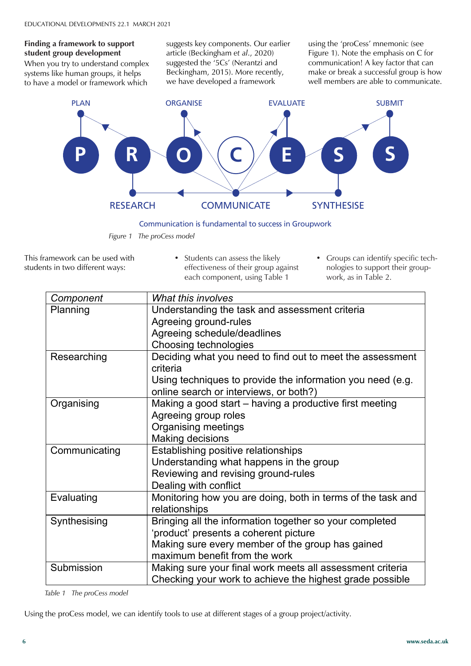### **Finding a framework to support The Magazine of SED**<br>student group development

When you try to understand comple<br>systems like human groups, it helps to have a model or framework which When you try to understand complex suggests key components. Our earlier article (Beckingham *et al*., 2020) suggested the '5Cs' (Nerantzi and Beckingham, 2015). More recently, we have developed a framework

using the 'proCess' mnemonic (see Figure 1). Note the emphasis on C for communication! A key factor that can make or break a successful group is how well members are able to communicate.



Communication is fundamental to success in Groupwork

*Figure 1 The proCess model* component, using Table 1

This framework can be used with This indifferent ways:<br>students in two different ways:

**Professor Alison James**

- Students can assess the likely effectiveness of their group against each component, using Table 1
- Groups can identify specific technologies to support their groupwork, as in Table 2. • Groups can identify specific technologies to support their groupwork, as in Table

| Component     | What this involves                                          |  |
|---------------|-------------------------------------------------------------|--|
| Planning      | Understanding the task and assessment criteria              |  |
|               | Agreeing ground-rules                                       |  |
|               | Agreeing schedule/deadlines                                 |  |
|               | Choosing technologies                                       |  |
| Researching   | Deciding what you need to find out to meet the assessment   |  |
|               | criteria                                                    |  |
|               | Using techniques to provide the information you need (e.g.  |  |
|               | online search or interviews, or both?)                      |  |
| Organising    | Making a good start - having a productive first meeting     |  |
|               | Agreeing group roles                                        |  |
|               | Organising meetings                                         |  |
|               | Making decisions                                            |  |
| Communicating | Establishing positive relationships                         |  |
|               | Understanding what happens in the group                     |  |
|               | Reviewing and revising ground-rules                         |  |
|               | Dealing with conflict                                       |  |
| Evaluating    | Monitoring how you are doing, both in terms of the task and |  |
|               | relationships                                               |  |
| Synthesising  | Bringing all the information together so your completed     |  |
|               | 'product' presents a coherent picture                       |  |
|               | Making sure every member of the group has gained            |  |
|               | maximum benefit from the work                               |  |
| Submission    | Making sure your final work meets all assessment criteria   |  |
|               | Checking your work to achieve the highest grade possible    |  |

*Table 1 The proCess model* 

receive copies of *Educational*  Using the proCess model, we can identify tools to use at different stages of a group project/activity.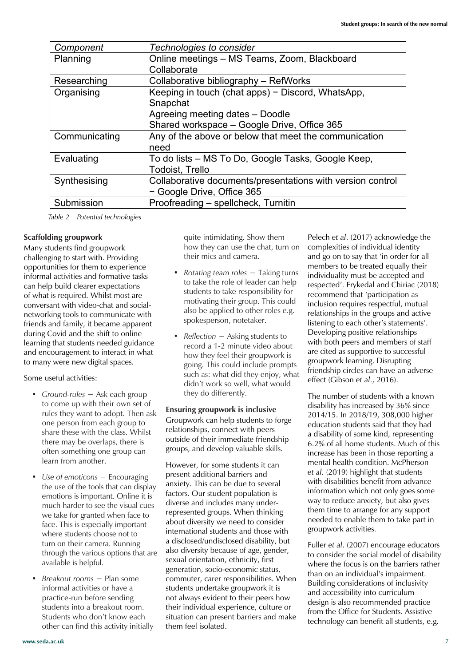| Component     | Technologies to consider                                   |  |
|---------------|------------------------------------------------------------|--|
| Planning      | Online meetings - MS Teams, Zoom, Blackboard               |  |
|               | Collaborate                                                |  |
| Researching   | Collaborative bibliography - RefWorks                      |  |
| Organising    | Keeping in touch (chat apps) - Discord, WhatsApp,          |  |
|               | Snapchat                                                   |  |
|               | Agreeing meeting dates - Doodle                            |  |
|               | Shared workspace - Google Drive, Office 365                |  |
| Communicating | Any of the above or below that meet the communication      |  |
|               | need                                                       |  |
| Evaluating    | To do lists – MS To Do, Google Tasks, Google Keep,         |  |
|               | <b>Todoist, Trello</b>                                     |  |
| Synthesising  | Collaborative documents/presentations with version control |  |
|               | - Google Drive, Office 365                                 |  |
| Submission    | Proofreading - spellcheck, Turnitin                        |  |

*Table 2 Potential technologies*

*Table 2 Potential technologies*

#### **Scaffolding groupwork**

Many students find groupwork challenging to start with. Providing opportunities for them to experience informal activities and formative tasks can help build clearer expectations of what is required. Whilst most are conversant with video-chat and socialnetworking tools to communicate with also be applied to other roles e.g. are relationships in the grou friends and family, it became apparent **the space of the space of toologies** listening during Covid and the shift to online learning that students needed guidance and encouragement to interact in what to many were new digital spaces. inities for them to experience<br>Many students find to start in the access of the start with the start with the start of the start of the start w<br>Many start of *Rotating team roles* − Taking turns individuality must be acce

#### Some useful activities:

- and the castle group rules they want to adopt. Then ask one person from each group to share these with the class. Whilst there may be overlaps, there is often something one group can learn from another.
- *• Use of emoticons* − Encouraging the use of the tools that can display emotions is important. Online it is much harder to see the visual cues we take for granted when face to face. This is especially important where students choose not to turn on their camera. Running through the various options that are available is helpful.
- *• Breakout rooms* − Plan some informal activities or have a practice-run before sending students into a breakout room. Students who don't know each other can find this activity initially

quite intimidating. Show them how they can use the chat, turn on their mics and camera.

- I activities and formative tasks and the state of leader can help and individuality individually in the activi<br>In the role of leader can help are respected. Frykedal and students to take responsibility for the responsibility of the responsibility of the conversal and intervals in a required million increase are motivating their group. This could inclusion requires respectful<br>ant with video-chat and socialalso be applied to other roles e.g. spokesperson, notetaker.
- *Ground-rules* − Ask each group they do differently. The number of students with can learn from something one group can learn from something one group can learn from they do differently. *• Reflection* − Asking students to record a 1-2 minute video about how they feel their groupwork is going. This could include prompts such as: what did they enjoy, what didn't work so well, what would they do differently. of the set of the could-include prompts of the come up to compare the set of the whole and we are an adverse<br>Such as what did they enjoy what friendship circles can have an adverse activities:<br>didn't work so well what would effect (Gibson et al., 2016).

#### **Ensuring groupwork is inclusive** Groupwork can help students to forge relationships, connect with peers outside of their immediate friendship

groups, and develop valuable skills.

However, for some students it can present additional barriers and anxiety. This can be due to several factors. Our student population is diverse and includes many underrepresented groups. When thinking about diversity we need to consider international students and those with a disclosed/undisclosed disability, but also diversity because of age, gender, sexual orientation, ethnicity, first generation, socio-economic status, commuter, carer responsibilities. When students undertake groupwork it is not always evident to their peers how their individual experience, culture or situation can present barriers and make them feel isolated.

Pelech *et al*. (2017) acknowledge the complexities of individual identity and go on to say that 'in order for all members to be treated equally their individuality must be accepted and respected'. Frykedal and Chiriac (2018) recommend that 'participation as inclusion requires respectful, mutual relationships in the groups and active listening to each other's statements'. Developing positive relationships with both peers and members of staff are cited as supportive to successful groupwork learning. Disrupting

The number of students with a known disability has increased by 36% since 2014/15. In 2018/19, 308,000 higher e person from each group to Groupwork can help students to torge education students said that they had hese with the class. Whilst relationships, connect with peers a disability of some kind, representing here in putside of their immediate friendship 6.2% of all home students. Much of this increase has been in those reporting a mental health condition. McPherson *et al.* (2019) highlight that students with disabilities benefit from advance information which not only goes some way to reduce anxiety, but also gives them time to arrange for any support needed to enable them to take part in groupwork activities.

> Fuller *et al*. (2007) encourage educators to consider the social model of disability where the focus is on the barriers rather than on an individual's impairment. Building considerations of inclusivity and accessibility into curriculum design is also recommended practice from the Office for Students. Assistive technology can benefit all students, e.g.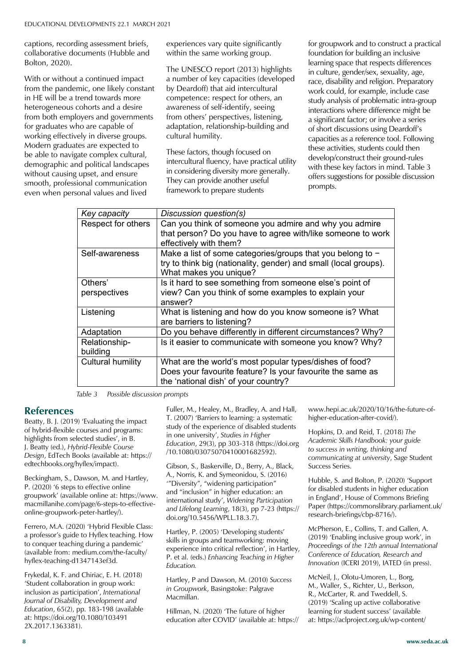captions, recording assessment briefs, **The Magazine of SEDA** collaborative documents (Hubble and Bolton, 2020).<br>With or without a continued impact Bolton, 2020).

vitin or without a continued impact<br>from the pandemic, one likely constant heterogeneous cohorts and a desire<br>from both employers and government for graduates who are capable of working effectively in diverse groups. The cultural humility. **Dream Bostock** are expected to be able to navigate complex cultural, Let the mangers complex canceral, intercultural fluency, have practical utility developy construct demographic and political landscapes intercultural fluency, have practical utility with these key factors are not activitie without causing upset, and ensure<br>
<u>mooth</u> professional communications smooth, professional communication and London London provide another<br>suggestions represented values and lived framework to prepare study in HE will be a trend towards more from both employers and governments Modern graduates are expected to even when personal values and lived

experiences vary quite significantly the gasessment briefs, experiences vary quite significantly and groupwork and to vertical control of the same working group. The foundation for building

The UNESCO report (2013) highlights in culture gender/sex sex a number of key capacities (developed by Deardoff) that aid intercultural These factors in the factor of the set of the set of the set of the respect for others, an  $\frac{1}{\text{Studv}}$  analysis of practical fluence: respect for others, an cohorts and a desire awareness of self-identify, seeing and interactions where difference oyers and governments but from others' perspectives, listening, the same factor or inversion for the no are capable of adaptation, relationship-building and  $\frac{1}{100}$  of short discussion cultural humility.

These factors, though focused on intercultural fluency, have practical utility in considering diversity more generally. They can provide another useful framework to prepare students ate complex cultural, and these idclors, mough locused on<br>intercultural fluorey have practical utility develop/construct their ground-rules upset, and ensure and considering diversity flore generally.<br>They can provide another useful offers suggestions for possible discussion

for groupwork and to construct a practical foundation for building an inclusive Learning space that respects differences<br>learning space that respects differences in culture, gender/sex, sexuality, age, race, disability and religion. Preparatory work could, for example, include case study analysis of problematic intra-group interactions where difference might be a significant factor; or involve a series of short discussions using Deardoff's capacities as a reference tool. Following these are expected to these students could then these students could then these activities, students could then with these key factors in mind. Table 3 prompts.

| Key capacity              | Discussion question(s)                                                                                                                                        |
|---------------------------|---------------------------------------------------------------------------------------------------------------------------------------------------------------|
| Respect for others        | Can you think of someone you admire and why you admire<br>that person? Do you have to agree with/like someone to work<br>effectively with them?               |
| Self-awareness            | Make a list of some categories/groups that you belong to $-$<br>try to think big (nationality, gender) and small (local groups).<br>What makes you unique?    |
| Others'<br>perspectives   | Is it hard to see something from someone else's point of<br>view? Can you think of some examples to explain your<br>answer?                                   |
| Listening                 | What is listening and how do you know someone is? What<br>are barriers to listening?                                                                          |
| Adaptation                | Do you behave differently in different circumstances? Why?                                                                                                    |
| Relationship-<br>building | Is it easier to communicate with someone you know? Why?                                                                                                       |
| <b>Cultural humility</b>  | What are the world's most popular types/dishes of food?<br>Does your favourite feature? Is your favourite the same as<br>the 'national dish' of your country? |

*Table 3 Possible discussion prompts*

#### **References**

Beatty, B. J. (2019) 'Evaluating the impace of hybrid-flexible courses and programs:<br>highlights from selected studies', in B. Angnights from selected studies, in **b**.<br> **J.** Beatty (ed.), *Hybrid-Flexible Course* Design, EdTech Books (available at: https:// edtechbooks.org/hyflex/impact). Beatty, B. J. (2019) 'Evaluating the impact highlights from selected studies', in B.

Beckingham, S., Dawson, M. and Hartley, P. (2020) '6 steps to effective online groupwork' (available online at: https://www. macmillanihe.com/page/6-steps-to-effectiveonline-groupwork-peter-hartley/).

Prefiero, M.A. (2020) Trybild Flexible Class.<br>a professor's guide to Hyflex teaching. How containing 4 issues) are available to conquer teaching during a pandemic' (available from: medium.com/the-faculty/ hyflex-teaching-d1347143ef3d. Ferrero, M.A. (2020) 'Hybrid Flexible Class:

Frykedal, K. F. and Chiriac, E. H. (2018) 'Student collaboration in group work: NB SEDA members automatically *Journal of Disability, Development and Education, 65(2), pp. 183-198 (available Developments.* at: https://doi.org/10.1080/103491 inclusion as participation', *International*  2X.2017.1363381).

Fuller, M., Healey, M., Bradley, A. and Hall, T. (2007) 'Barriers to learning: a systematic study of the experience of disabled students in one university', *Studies in Higher Education*, 29(3), pp 303-318 (https://doi.org /10.1080/03075070410001682592). *Table 3 Possible discussion prompts* 

> Gibson, S., Baskerville, D., Berry, A., Black, A., Norris, K. and Symeonidou, S. (2016) '"Diversity", "widening participation" and "inclusion" in higher education: an international study', *Widening Participation and Lifelong Learning*, 18(3), pp 7-23 (https:// doi.org/10.5456/WPLL.18.3.7).

> Hartley, P. (2005) 'Developing students' skills in groups and teamworking: moving experience into critical reflection', in Hartley, P. et al. (eds.) *Enhancing Teaching in Higher Education.*

Hartley, P and Dawson, M. (2010) *Success in Groupwork*, Basingstoke: Palgrave Macmillan.

Hillman, N. (2020) 'The future of higher education after COVID' (available at: https:// www.hepi.ac.uk/2020/10/16/the-future-ofhigher-education-after-covid/).

Hopkins, D. and Reid, T. (2018) *The Academic Skills Handbook: your guide to success in writing, thinking and communicating at university*, Sage Student Success Series.

Hubble, S. and Bolton, P. (2020) 'Support for disabled students in higher education in England', House of Commons Briefing Paper (https://commonslibrary.parliament.uk/ research-briefings/cbp-8716/).

McPherson, E., Collins, T. and Gallen, A. (2019) 'Enabling inclusive group work', in *Proceedings of the 12th annual International Conference of Education, Research and Innovation* (ICERI 2019), IATED (in press).

McNeil, J., Olotu-Umoren, L., Borg, M., Waller, S., Richter, U., Berkson, R., McCarter, R. and Tweddell, S. (2019) 'Scaling up active collaborative learning for student success' (available at: https://aclproject.org.uk/wp-content/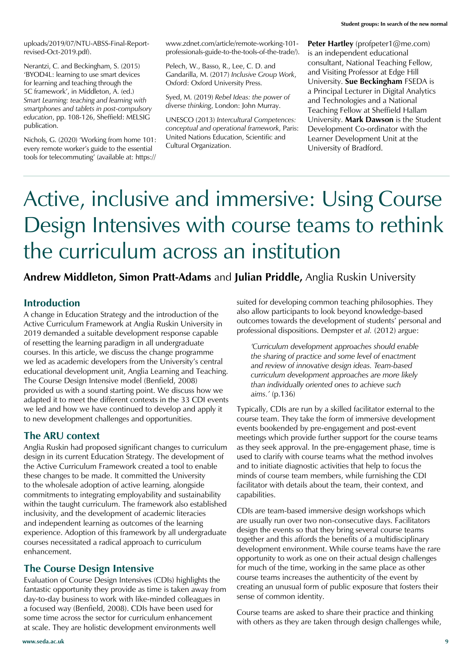uploads/2019/07/NTU-ABSS-Final-Reportrevised-Oct-2019.pdf).

Nerantzi, C. and Beckingham, S. (2015) 'BYOD4L: learning to use smart devices for learning and teaching through the 5C framework', in Middleton, A. (ed.) *Smart Learning: teaching and learning with smartphones and tablets in post-compulsory education*, pp. 108-126, Sheffield: MELSIG publication.

Nichols, G. (2020) 'Working from home 101: every remote worker's guide to the essential tools for telecommuting' (available at: https:// www.zdnet.com/article/remote-working-101 professionals-guide-to-the-tools-of-the-trade/).

Pelech, W., Basso, R., Lee, C. D. and Gandarilla, M. (2017) *Inclusive Group Work*, Oxford: Oxford University Press.

Syed, M. (2019) *Rebel Ideas: the power of diverse thinking*, London: John Murray.

UNESCO (2013) *Intercultural Competences: conceptual and operational framework*, Paris: United Nations Education, Scientific and Cultural Organization.

**Peter Hartley** (profpeter1@me.com) is an independent educational consultant, National Teaching Fellow, and Visiting Professor at Edge Hill University. **Sue Beckingham** FSEDA is a Principal Lecturer in Digital Analytics and Technologies and a National Teaching Fellow at Sheffield Hallam University. **Mark Dawson** is the Student Development Co-ordinator with the Learner Development Unit at the University of Bradford.

# Active, inclusive and immersive: Using Course Design Intensives with course teams to rethink the curriculum across an institution

**Andrew Middleton, Simon Pratt-Adams** and **Julian Priddle,** Anglia Ruskin University

#### **Introduction**

A change in Education Strategy and the introduction of the Active Curriculum Framework at Anglia Ruskin University in 2019 demanded a suitable development response capable of resetting the learning paradigm in all undergraduate courses. In this article, we discuss the change programme we led as academic developers from the University's central educational development unit, Anglia Learning and Teaching. The Course Design Intensive model (Benfield, 2008) provided us with a sound starting point. We discuss how we adapted it to meet the different contexts in the 33 CDI events we led and how we have continued to develop and apply it to new development challenges and opportunities.

#### **The ARU context**

Anglia Ruskin had proposed significant changes to curriculum design in its current Education Strategy. The development of the Active Curriculum Framework created a tool to enable these changes to be made. It committed the University to the wholesale adoption of active learning, alongside commitments to integrating employability and sustainability within the taught curriculum. The framework also established inclusivity, and the development of academic literacies and independent learning as outcomes of the learning experience. Adoption of this framework by all undergraduate courses necessitated a radical approach to curriculum enhancement.

#### **The Course Design Intensive**

Evaluation of Course Design Intensives (CDIs) highlights the fantastic opportunity they provide as time is taken away from day-to-day business to work with like-minded colleagues in a focused way (Benfield, 2008). CDIs have been used for some time across the sector for curriculum enhancement at scale. They are holistic development environments well

suited for developing common teaching philosophies. They also allow participants to look beyond knowledge-based outcomes towards the development of students' personal and professional dispositions. Dempster *et al.* (2012) argue:

*'Curriculum development approaches should enable the sharing of practice and some level of enactment and review of innovative design ideas. Team-based curriculum development approaches are more likely than individually oriented ones to achieve such aims.'* (p.136)

Typically, CDIs are run by a skilled facilitator external to the course team. They take the form of immersive development events bookended by pre-engagement and post-event meetings which provide further support for the course teams as they seek approval. In the pre-engagement phase, time is used to clarify with course teams what the method involves and to initiate diagnostic activities that help to focus the minds of course team members, while furnishing the CDI facilitator with details about the team, their context, and capabilities.

CDIs are team-based immersive design workshops which are usually run over two non-consecutive days. Facilitators design the events so that they bring several course teams together and this affords the benefits of a multidisciplinary development environment. While course teams have the rare opportunity to work as one on their actual design challenges for much of the time, working in the same place as other course teams increases the authenticity of the event by creating an unusual form of public exposure that fosters their sense of common identity.

Course teams are asked to share their practice and thinking with others as they are taken through design challenges while,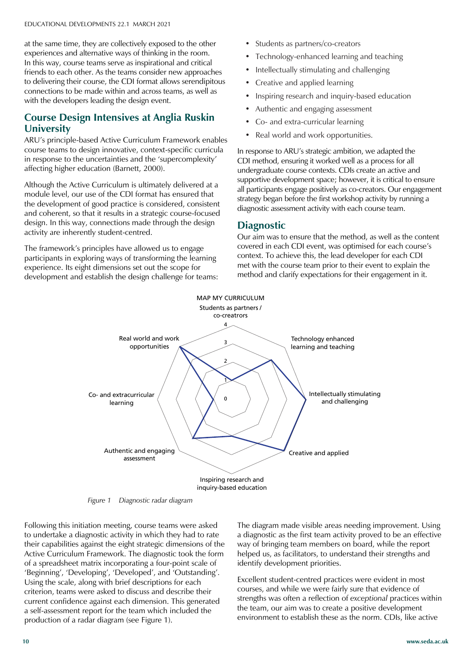at the same time, they are collectively exposed to the other **The Magazine of SEDA** experiences and alternative ways of thinking in the room. In this way, course teams serve as inspirational and critical<br>friends to each other. As the teams consider new approaches to delivering their course, the CDI format allows serendipito connections to be made within and across teams, as well as In this way, course teams serve as inspirational and critical to delivering their course, the CDI format allows serendipitous with the developers leading the design event.

#### Formes Design Interesting **University Course Design Intensives at Anglia Ruskin**

**EINVERSITY**<br>ARU's principle-based Active Curriculum Framework enables course teams to design innovative, context-specific curricula in response to the uncertainties and the 'supercomplexity' affecting higher education (Barnett, 2000).

**Dr Carole Davis** Although the Active Curriculum is ultimately delivered at a the development of good practice is considered, consistent and coherent, so that it results in a strategic course-focused activity are inherently student-centred. module level, our use of the CDI format has ensured that design. In this way, connections made through the design

University of Winchester participants in exploring ways of transforming the learning experience. Its eight dimensions set out the scope for The framework's principles have allowed us to engage development and establish the design challenge for teams:

**Ellie Russell**

- Students as partners/co-creators
- Technology-enhanced learning and teaching
- Intellectually stimulating and challenging
- Creative and applied learning
- Inspiring research and inquiry-based education
- Authentic and engaging assessment
- Co- and extra-curricular learning
- Real world and work opportunities.

In response to ARU's strategic ambition, we adapted the CDI method, ensuring it worked well as a process for all undergraduate course contexts. CDIs create an active and supportive development space; however, it is critical to ensure all participants engage positively as co-creators. Our engagement strategy began before the first workshop activity by running a diagnostic assessment activity with each course team.

#### **Diagnostic**

Our aim was to ensure that the method, as well as the content covered in each CDI event, was optimised for each course's context. To achieve this, the lead developer for each CDI met with the course team prior to their event to explain the method and clarify expectations for their engagement in it.



packing for delivery within the EU *Figure 1 Diagnostic radar diagram*  $\log n + 1 = \log$ 

to undertake a diagnostic activity in which they had to rate containing 4 issues) are available their capabilities against the eight strategic dimensions of the for £290 sterling. Active Curriculum Framework. The diagnostic took the form of a spreadsheet matrix incorporating a four-point scale of 'Beginning', 'Developing', 'Developed', and 'Outstanding'. Using the scale, along with brief descriptions for each current confidence against each dimension. This generated a self-assessment report for the team which included the production of a radar diagram (see Figure 1). Following this initiation meeting, course teams were asked criterion, teams were asked to discuss and describe their

The diagram made visible areas needing improvement. Using a diagnostic as the first team activity proved to be an effective way of bringing team members on board, while the report helped us, as facilitators, to understand their strengths and identify development priorities.

Excellent student-centred practices were evident in most courses, and while we were fairly sure that evidence of strengths was often a reflection of *exceptional* practices within the team, our aim was to create a positive development environment to establish these as the norm. CDIs, like active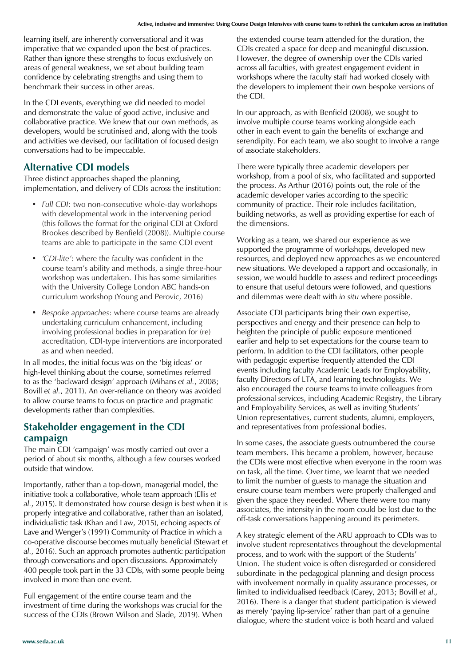learning itself, are inherently conversational and it was imperative that we expanded upon the best of practices. Rather than ignore these strengths to focus exclusively on areas of general weakness, we set about building team confidence by celebrating strengths and using them to benchmark their success in other areas.

In the CDI events, everything we did needed to model and demonstrate the value of good active, inclusive and collaborative practice. We knew that our own methods, as developers, would be scrutinised and, along with the tools and activities we devised, our facilitation of focused design conversations had to be impeccable.

#### **Alternative CDI models**

Three distinct approaches shaped the planning, implementation, and delivery of CDIs across the institution:

- *• Full CDI*: two non-consecutive whole-day workshops with developmental work in the intervening period (this follows the format for the original CDI at Oxford Brookes described by Benfield (2008)). Multiple course teams are able to participate in the same CDI event
- *• 'CDI-lite'*: where the faculty was confident in the course team's ability and methods, a single three-hour workshop was undertaken. This has some similarities with the University College London ABC hands-on curriculum workshop (Young and Perovic, 2016)
- *• Bespoke approaches*: where course teams are already undertaking curriculum enhancement, including involving professional bodies in preparation for (re) accreditation, CDI-type interventions are incorporated as and when needed.

In all modes, the initial focus was on the 'big ideas' or high-level thinking about the course, sometimes referred to as the 'backward design' approach (Mihans *et al.*, 2008; Bovill *et al.*, 2011). An over-reliance on theory was avoided to allow course teams to focus on practice and pragmatic developments rather than complexities.

#### **Stakeholder engagement in the CDI campaign**

The main CDI 'campaign' was mostly carried out over a period of about six months, although a few courses worked outside that window.

Importantly, rather than a top-down, managerial model, the initiative took a collaborative, whole team approach (Ellis *et al.*, 2015). It demonstrated how course design is best when it is properly integrative and collaborative, rather than an isolated, individualistic task (Khan and Law, 2015), echoing aspects of Lave and Wenger's (1991) Community of Practice in which a co-operative discourse becomes mutually beneficial (Stewart *et al.*, 2016). Such an approach promotes authentic participation through conversations and open discussions. Approximately 400 people took part in the 33 CDIs, with some people being involved in more than one event.

Full engagement of the entire course team and the investment of time during the workshops was crucial for the success of the CDIs (Brown Wilson and Slade, 2019). When the extended course team attended for the duration, the CDIs created a space for deep and meaningful discussion. However, the degree of ownership over the CDIs varied across all faculties, with greatest engagement evident in workshops where the faculty staff had worked closely with the developers to implement their own bespoke versions of the CDI.

In our approach, as with Benfield (2008), we sought to involve multiple course teams working alongside each other in each event to gain the benefits of exchange and serendipity. For each team, we also sought to involve a range of associate stakeholders.

There were typically three academic developers per workshop, from a pool of six, who facilitated and supported the process. As Arthur (2016) points out, the role of the academic developer varies according to the specific community of practice. Their role includes facilitation, building networks, as well as providing expertise for each of the dimensions.

Working as a team, we shared our experience as we supported the programme of workshops, developed new resources, and deployed new approaches as we encountered new situations. We developed a rapport and occasionally, in session, we would huddle to assess and redirect proceedings to ensure that useful detours were followed, and questions and dilemmas were dealt with *in situ* where possible.

Associate CDI participants bring their own expertise, perspectives and energy and their presence can help to heighten the principle of public exposure mentioned earlier and help to set expectations for the course team to perform. In addition to the CDI facilitators, other people with pedagogic expertise frequently attended the CDI events including faculty Academic Leads for Employability, faculty Directors of LTA, and learning technologists. We also encouraged the course teams to invite colleagues from professional services, including Academic Registry, the Library and Employability Services, as well as inviting Students' Union representatives, current students, alumni, employers, and representatives from professional bodies.

In some cases, the associate guests outnumbered the course team members. This became a problem, however, because the CDIs were most effective when everyone in the room was on task, all the time. Over time, we learnt that we needed to limit the number of guests to manage the situation and ensure course team members were properly challenged and given the space they needed. Where there were too many associates, the intensity in the room could be lost due to the off-task conversations happening around its perimeters.

A key strategic element of the ARU approach to CDIs was to involve student representatives throughout the developmental process, and to work with the support of the Students' Union. The student voice is often disregarded or considered subordinate in the pedagogical planning and design process with involvement normally in quality assurance processes, or limited to individualised feedback (Carey, 2013; Bovill *et al.,* 2016). There is a danger that student participation is viewed as merely 'paying lip-service' rather than part of a genuine dialogue, where the student voice is both heard and valued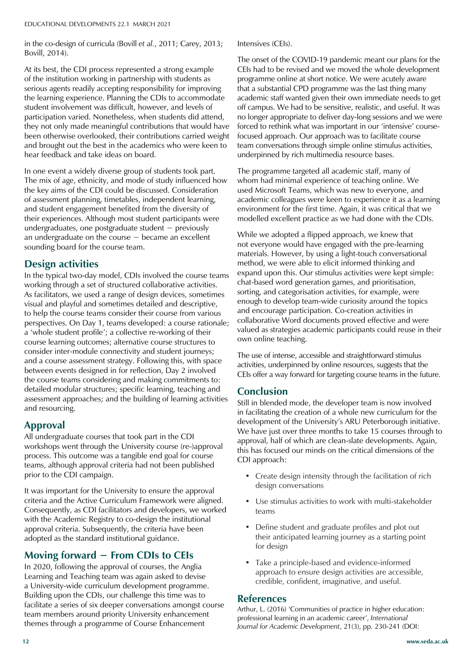in the co-design of curricula (Bovill *et al.*, 2011; Carey, 2013; Bovill, 2014).

At its best, the CDI process represented a strong example<br>of the institution working in partnership with students as of the institution working in partnership with students as<br>serious agents readily accepting responsibility for improving student involvement was difficult, however, and levels of<br>participation varied. Nonetheless, when students did atto they not only made meaningful contributions that would have been otherwise overlooked, their contributions carried weight and *Brought* bat the<br>bear feedback and t hear feedback and take ideas on board. of the institution working in partnership with students as the learning experience. Planning the CDIs to accommodate participation varied. Nonetheless, when students did attend, and brought out the best in the academics who were keen to

**Dr Carole Davis** The mix of age, ethnicity, and mode of study influenced how the key aims of the CDI could be discussed. Consideration **Dr Peter Gossman** and student engagement benefited from the diversity of and statem engagement benefied non the diversity of their experiences. Although most student participants were **Professor Alison James** undergraduates, one postgraduate student − previously an undergraduate on the course – become<br>sounding board for the course team. In one event a widely diverse group of students took part. of assessment planning, timetables, independent learning, an undergraduate on the course − became an excellent

#### **Steve Outram Design activities**

working through a set of structured collaborative activities. As facilitators, we used a range of design devices, sometimes to help the course teams consider their course from various perspectives. On Day 1, teams developed: a course rationale; **Professor James Wisdom** course learning outcomes; alternative course structures to consider inter-module connectivity and student journeys; and a course assessment strategy. Following this, with space<br>between events designed in for reflection, Day 2 involved between events designed in for reflection,  $\sum y_i^2$  involved<br>the course teams considering and making commitments to: In the typical two-day model, CDIs involved the course teams visual and playful and sometimes detailed and descriptive, a 'whole student profile'; a collective re-working of their and a course assessment strategy. Following this, with space detailed modular structures; specific learning, teaching and assessment approaches; and the building of learning activities and resourcing.

#### **Approval**

Approval<br>All undergraduate courses that took part in the CDI An undergraduate courses that took part in the CDT workshops went through the University course (re-)approval process. This outcome was a tangible end goal for course teams, although approval criteria had not been published prior to the CDI campaign.

It was important for the University to ensure the approval packing for delivery within the EU criteria and the Active Curriculum Framework were aligned. Enterta and the restriction for the restriction of the restriction of the restriction of the consequently, as CDI facilitators and developers, we worked with the Academic Registry to co-design the institutional approval criteria. Subsequently, the criteria have been adopted as the standard institutional guidance.

### Moving forward − From CDIs to CEIs

In 2020, following the approval of courses, the Anglia Learning and Teaching team was again asked to devise a University-wide curriculum development programme. Building upon the CDIs, our challenge this time was to facilitate a series of six deeper conversations amongst course team members around priority University enhancement themes through a programme of Course Enhancement

Intensives (CEIs).

The onset of the COVID-19 pandemic meant our plans for the CEIs had to be revised and we moved the whole development programme online at short notice. We were acutely aware that a substantial CPD programme was the last thing many academic staff wanted given their own immediate needs to get off campus. We had to be sensitive, realistic, and useful. It was no longer appropriate to deliver day-long sessions and we were forced to rethink what was important in our 'intensive' coursefocused approach. Our approach was to facilitate course team conversations through simple online stimulus activities, underpinned by rich multimedia resource bases.

The programme targeted all academic staff, many of whom had minimal experience of teaching online. We used Microsoft Teams, which was new to everyone, and academic colleagues were keen to experience it as a learning environment for the first time. Again, it was critical that we modelled excellent practice as we had done with the CDIs.

While we adopted a flipped approach, we knew that not everyone would have engaged with the pre-learning materials. However, by using a light-touch conversational method, we were able to elicit informed thinking and expand upon this. Our stimulus activities were kept simple: chat-based word generation games, and prioritisation, sorting, and categorisation activities, for example, were enough to develop team-wide curiosity around the topics and encourage participation. Co-creation activities in collaborative Word documents proved effective and were valued as strategies academic participants could reuse in their own online teaching.

The use of intense, accessible and straightforward stimulus activities, underpinned by online resources, suggests that the CEIs offer a way forward for targeting course teams in the future.

#### **Conclusion**

Still in blended mode, the developer team is now involved in facilitating the creation of a whole new curriculum for the development of the University's ARU Peterborough initiative. We have just over three months to take 15 courses through to approval, half of which are clean-slate developments. Again, this has focused our minds on the critical dimensions of the CDI approach:

- Create design intensity through the facilitation of rich design conversations
- Use stimulus activities to work with multi-stakeholder teams
- Define student and graduate profiles and plot out their anticipated learning journey as a starting point for design
- Take a principle-based and evidence-informed approach to ensure design activities are accessible, credible, confident, imaginative, and useful.

#### **References**

Arthur, L. (2016) 'Communities of practice in higher education: professional learning in an academic career', *International Journal for Academic Development*, 21(3), pp. 230-241 (DOI: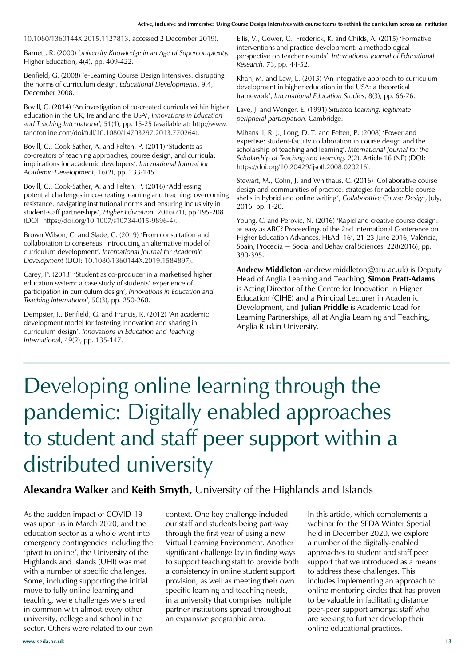10.1080/1360144X.2015.1127813, accessed 2 December 2019).

Barnett, R. (2000) *University Knowledge in an Age of Supercomplexity,* Higher Education, 4(4), pp. 409-422.

Benfield, G. (2008) 'e-Learning Course Design Intensives: disrupting the norms of curriculum design, *Educational Developments*, 9.4, December 2008.

Bovill, C. (2014) 'An investigation of co-created curricula within higher education in the UK, Ireland and the USA', *Innovations in Education and Teaching International,* 51(1), pp. 15-25 (available at: http://www. tandfonline.com/doi/full/10.1080/14703297.2013.770264).

Bovill, C., Cook-Sather, A. and Felten, P. (2011) 'Students as co-creators of teaching approaches, course design, and curricula: implications for academic developers', *International Journal for Academic Development*, 16(2), pp. 133-145.

Bovill, C., Cook-Sather, A. and Felten, P. (2016) 'Addressing potential challenges in co-creating learning and teaching: overcoming resistance, navigating institutional norms and ensuring inclusivity in student-staff partnerships', *Higher Education*, 2016(71), pp.195-208 (DOI: https://doi.org/10.1007/s10734-015-9896-4).

Brown Wilson, C. and Slade, C. (2019) 'From consultation and collaboration to consensus: introducing an alternative model of curriculum development', *International Journal for Academic Development* (DOI: 10.1080/1360144X.2019.1584897).

Carey, P. (2013) 'Student as co-producer in a marketised higher education system: a case study of students' experience of participation in curriculum design', *Innovations in Education and Teaching International*, 50(3), pp. 250-260.

Dempster, J., Benfield, G. and Francis, R. (2012) 'An academic development model for fostering innovation and sharing in curriculum design', *Innovations in Education and Teaching Internationa*l, 49(2), pp. 135-147.

Ellis, V., Gower, C., Frederick, K. and Childs, A. (2015) 'Formative interventions and practice-development: a methodological perspective on teacher rounds', *International Journal of Educational Research*, 73, pp. 44-52.

Khan, M. and Law, L. (2015) 'An integrative approach to curriculum development in higher education in the USA: a theoretical framework', *International Education Studies*, 8(3), pp. 66-76.

Lave, J. and Wenger, E. (1991) *Situated Learning: legitimate peripheral participation,* Cambridge.

Mihans II, R. J., Long, D. T. and Felten, P. (2008) 'Power and expertise: student-faculty collaboration in course design and the scholarship of teaching and learning', *International Journal for the Scholarship of Teaching and Learning,* 2(2), Article 16 (NP) (DOI: https://doi.org/10.20429/ijsotl.2008.020216).

Stewart, M., Cohn, J. and Whithaus, C. (2016) 'Collaborative course design and communities of practice: strategies for adaptable course shells in hybrid and online writing', *Collaborative Course Design*, July, 2016, pp. 1-20.

Young, C. and Perovic, N. (2016) 'Rapid and creative course design: as easy as ABC? Proceedings of the 2nd International Conference on Higher Education Advances, HEAd' 16', 21-23 June 2016, València, Spain, Procedia − Social and Behavioral Sciences, 228(2016), pp. 390-395.

**Andrew Middleton** (andrew.middleton@aru.ac.uk) is Deputy Head of Anglia Learning and Teaching, **Simon Pratt-Adams** is Acting Director of the Centre for Innovation in Higher Education (CIHE) and a Principal Lecturer in Academic Development, and **Julian Priddle** is Academic Lead for Learning Partnerships, all at Anglia Learning and Teaching, Anglia Ruskin University.

# Developing online learning through the pandemic: Digitally enabled approaches to student and staff peer support within a distributed university

#### **Alexandra Walker** and **Keith Smyth,** University of the Highlands and Islands

As the sudden impact of COVID-19 was upon us in March 2020, and the education sector as a whole went into emergency contingencies including the 'pivot to online', the University of the Highlands and Islands (UHI) was met with a number of specific challenges. Some, including supporting the initial move to fully online learning and teaching, were challenges we shared in common with almost every other university, college and school in the sector. Others were related to our own

context. One key challenge included our staff and students being part-way through the first year of using a new Virtual Learning Environment. Another significant challenge lay in finding ways to support teaching staff to provide both a consistency in online student support provision, as well as meeting their own specific learning and teaching needs, in a university that comprises multiple partner institutions spread throughout an expansive geographic area.

In this article, which complements a webinar for the SEDA Winter Special held in December 2020, we explore a number of the digitally-enabled approaches to student and staff peer support that we introduced as a means to address these challenges. This includes implementing an approach to online mentoring circles that has proven to be valuable in facilitating distance peer-peer support amongst staff who are seeking to further develop their online educational practices.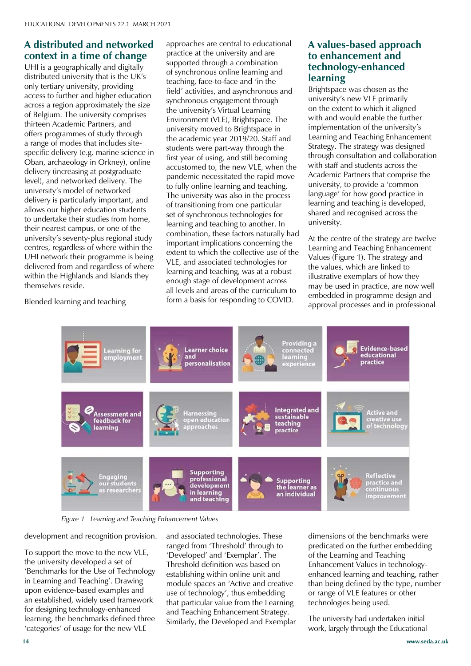### A distributed and networked **The Magazine of SEDA**<br>**context in a time of change**

**COTTEXT IT A TITTE OF CR**<br>UHI is a geographically and c<br>distributed university that is tl abandaded aniversity, and is die to<br>only tertiary university, providing across a region approximately the size<br>of Belgium. The university comprises thirteen Academic Partners, and offers programmes of study through specific delivery (e.g. marine science in Oban, archaeology in Orkney), online **Dr Carole Davis** level), and networked delivery. The university's model of networked delivery is particularly important, and<br>allows our higher education students to undertake their studies from home, their nearest campus, or one of the university's seventy-plus regional study<br> UHI network their programme is being delivered from and regardless of where themselves reside. UHI is a geographically and digitally distributed university that is the UK's access to further and higher education of Belgium. The university comprises a range of modes that includes sitedelivery (increasing at postgraduate delivery is particularly important, and centres, regardless of where within the within the Highlands and Islands they

Blended learning and teaching

approaches are central to educational practice at the university and are supported through a combination of synchronous online learning and teaching, face-to-face and 'in the field' activities, and asynchronous and synchronous engagement through the university's Virtual Learning Environment (VLE), Brightspace. The university moved to Brightspace in the academic year 2019/20. Staff and students were part-way through the first year of using, and still becoming accustomed to, the new VLE, when the pandemic necessitated the rapid move to fully online learning and teaching. The university was also in the process of transitioning from one particular set of synchronous technologies for learning and teaching to another. In combination, these factors naturally had important implications concerning the extent to which the collective use of the VLE, and associated technologies for learning and teaching, was at a robust enough stage of development across all levels and areas of the curriculum to form a basis for responding to COVID.

#### **A values-based approach to enhancement and technology-enhanced learning**

Brightspace was chosen as the university's new VLE primarily on the extent to which it aligned with and would enable the further implementation of the university's Learning and Teaching Enhancement Strategy. The strategy was designed through consultation and collaboration with staff and students across the Academic Partners that comprise the university, to provide a 'common language' for how good practice in learning and teaching is developed, shared and recognised across the university.

At the centre of the strategy are twelve Learning and Teaching Enhancement Values (Figure 1). The strategy and the values, which are linked to illustrative exemplars of how they may be used in practice, are now well embedded in programme design and approval processes and in professional



*Figure 1 Learning and Teaching Enhancement Values* 

Packs of 10 copies (each copy development and recognition provision.

To support the move to the new VLE, the university developed a set of 'Benchmarks for the Use of Technology in Learning and Teaching'. Drawing an established, widely used framework for designing technology-enhanced learning, the benchmarks defined three upon evidence-based examples and 'categories' of usage for the new VLE

and associated technologies. These ranged from 'Threshold' through to 'Developed' and 'Exemplar'. The Threshold definition was based on establishing within online unit and module spaces an 'Active and creative use of technology', thus embedding that particular value from the Learning and Teaching Enhancement Strategy. Similarly, the Developed and Exemplar dimensions of the benchmarks were predicated on the further embedding of the Learning and Teaching Enhancement Values in technologyenhanced learning and teaching, rather than being defined by the type, number or range of VLE features or other technologies being used.

The university had undertaken initial work, largely through the Educational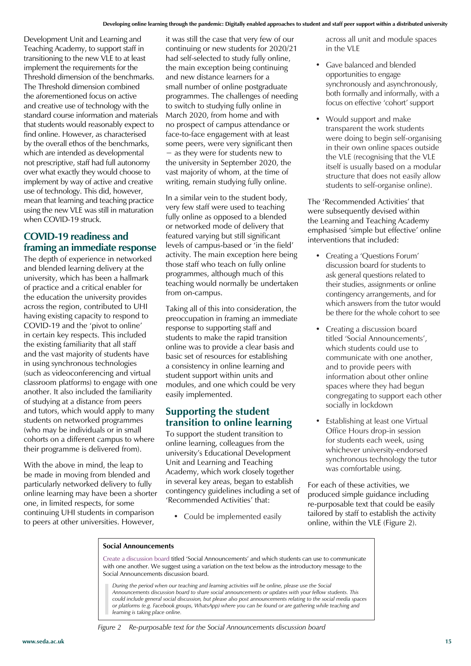Development Unit and Learning and Teaching Academy, to support staff in transitioning to the new VLE to at least implement the requirements for the Threshold dimension of the benchmarks. The Threshold dimension combined the aforementioned focus on active and creative use of technology with the standard course information and materials that students would reasonably expect to find online. However, as characterised by the overall ethos of the benchmarks, which are intended as developmental not prescriptive, staff had full autonomy over what exactly they would choose to implement by way of active and creative use of technology. This did, however, mean that learning and teaching practice using the new VLE was still in maturation when COVID-19 struck.

#### **COVID-19 readiness and framing an immediate response**

The depth of experience in networked and blended learning delivery at the university, which has been a hallmark of practice and a critical enabler for the education the university provides across the region, contributed to UHI having existing capacity to respond to COVID-19 and the 'pivot to online' in certain key respects. This included the existing familiarity that all staff and the vast majority of students have in using synchronous technologies (such as videoconferencing and virtual classroom platforms) to engage with one another. It also included the familiarity of studying at a distance from peers and tutors, which would apply to many students on networked programmes (who may be individuals or in small cohorts on a different campus to where their programme is delivered from).

With the above in mind, the leap to be made in moving from blended and particularly networked delivery to fully online learning may have been a shorter one, in limited respects, for some continuing UHI students in comparison to peers at other universities. However,

it was still the case that very few of our continuing or new students for 2020/21 had self-selected to study fully online, the main exception being continuing and new distance learners for a small number of online postgraduate programmes. The challenges of needing to switch to studying fully online in March 2020, from home and with no prospect of campus attendance or face-to-face engagement with at least some peers, were very significant then − as they were for students new to the university in September 2020, the vast majority of whom, at the time of writing, remain studying fully online.

In a similar vein to the student body, very few staff were used to teaching fully online as opposed to a blended or networked mode of delivery that featured varying but still significant levels of campus-based or 'in the field' activity. The main exception here being those staff who teach on fully online programmes, although much of this teaching would normally be undertaken from on-campus.

Taking all of this into consideration, the preoccupation in framing an immediate response to supporting staff and students to make the rapid transition online was to provide a clear basis and basic set of resources for establishing a consistency in online learning and student support within units and modules, and one which could be very easily implemented.

#### **Supporting the student transition to online learning**

To support the student transition to online learning, colleagues from the university's Educational Development Unit and Learning and Teaching Academy, which work closely together in several key areas, began to establish contingency guidelines including a set of 'Recommended Activities' that:

• Could be implemented easily

across all unit and module spaces in the VLE

- Gave balanced and blended opportunities to engage synchronously and asynchronously, both formally and informally, with a focus on effective 'cohort' support
- Would support and make transparent the work students were doing to begin self-organising in their own online spaces outside the VLE (recognising that the VLE itself is usually based on a modular structure that does not easily allow students to self-organise online).

The 'Recommended Activities' that were subsequently devised within the Learning and Teaching Academy emphasised 'simple but effective' online interventions that included:

- Creating a 'Questions Forum' discussion board for students to ask general questions related to their studies, assignments or online contingency arrangements, and for which answers from the tutor would be there for the whole cohort to see
- Creating a discussion board titled 'Social Announcements', which students could use to communicate with one another, and to provide peers with information about other online spaces where they had begun congregating to support each other socially in lockdown
- Establishing at least one Virtual Office Hours drop-in session for students each week, using whichever university-endorsed synchronous technology the tutor was comfortable using.

For each of these activities, we produced simple guidance including re-purposable text that could be easily tailored by staff to establish the activity online, within the VLE (Figure 2).

#### **Social Announcements**

Create a discussion board titled 'Social Announcements' and which students can use to communicate with one another. We suggest using a variation on the text below as the introductory message to the Social Announcements discussion board.

*During the period when our teaching and learning activities will be online, please use the Social Announcements discussion board to share social announcements or updates with your fellow students. This could include general social discussion, but please also post announcements relating to the social media spaces or platforms (e.g. Facebook groups, WhatsApp) where you can be found or are gathering while teaching and learning is taking place online.*

*Figure 2 Re-purposable text for the Social Announcements discussion board*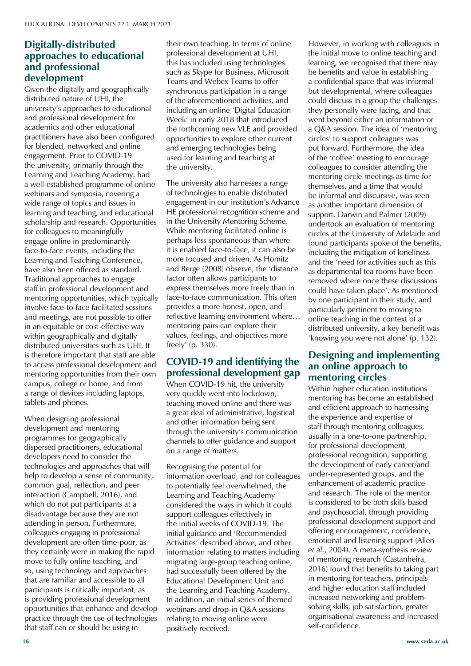#### Digitally-distributed **Digitally-distributed** approaches to educat<br>and professional<br>development **approaches to educational development**

**Given the digitally and geographically** university's approaches to educational **Amy Barlow** academics and other educational practitioners have also been configured For biended, hetworked and online<br>
engagement. Prior to COVID-19 Engagement: Thor to COVID 15<br>the university, primarily through the Learning and Teaching Academy, had a well-established programme of online wide range of topics and issues in learning and teaching, and educational for colleagues to meaningfully engage online in predominantly Learning and Teaching Conference, have also been offered as standard. **Ellie Russell** staff in professional development and mentoring opportunities, which typically **Professor Claire Taylor FSEDA** and meetings, are not possible to offer in an equitable or cost-effective way within geographically and digitally distributed universities such as UHI. It to access professional development and mentoring opportunities from their own distributed nature of UHI, the and professional development for for blended, networked and online webinars and symposia, covering a scholarship and research. Opportunities face-to-face events, including the Traditional approaches to engage involve face-to-face facilitated sessions is therefore important that staff are able campus, college or home, and from a range of devices including laptops, tablets and phones.

Extend designing processional<br>development and mentoring<br>programmes for geographically **Annual Subscription Rates** dispersed practitioners, educational developers need to consider the technologies and approaches that will help to develop a sense of community, common goal, reflection, and peer interaction (Campbell, 2016), and which do not put participants at a disadvantage because they are not colleagues engaging in professional development are often time-poor, as they certainly were in making the rapid move to fully online teaching, and so, using technology and approaches that are familiar and accessible to all is providing professional development opportunities that enhance and develop practice through the use of technologies When designing professional programmes for geographically attending in person. Furthermore, participants is critically important, as that staff can or should be using in

their own teaching. In terms of online professional development at UHI, this has included using technologies such as Skype for Business, Microsoft Teams and Webex Teams to offer synchronous participation in a range of the aforementioned activities, and including an online 'Digital Education Week' in early 2018 that introduced the forthcoming new VLE and provided opportunities to explore other current and emerging technologies being used for learning and teaching at the university.

The university also harnesses a range of technologies to enable distributed engagement in our institution's Advance HE professional recognition scheme and in the University Mentoring Scheme. While mentoring facilitated online is perhaps less spontaneous than where it is enabled face-to-face, it can also be more focused and driven. As Homitz and Berge (2008) observe, the 'distance factor often allows participants to express themselves more freely than in face-to-face communication. This often provides a more honest, open, and reflective learning environment where… mentoring pairs can explore their values, feelings, and objectives more freely' (p. 330).

#### **COVID-19 and identifying the professional development gap**

When COVID-19 hit, the university very quickly went into lockdown, teaching moved online and there was a great deal of administrative, logistical and other information being sent through the university's communication channels to offer guidance and support on a range of matters.

Recognising the potential for information overload, and for colleagues to potentially feel overwhelmed, the Learning and Teaching Academy considered the ways in which it could support colleagues effectively in the initial weeks of COVID-19. The initial guidance and 'Recommended Activities' described above, and other information relating to matters including migrating large-group teaching online, had successfully been offered by the Educational Development Unit and the Learning and Teaching Academy. In addition, an initial series of themed webinars and drop-in Q&A sessions relating to moving online were positively received.

However, in working with colleagues in the initial move to online teaching and learning, we recognised that there may be benefits and value in establishing a confidential space that was informal but developmental, where colleagues could discuss in a group the challenges they personally were facing, and that went beyond either an information or a Q&A session. The idea of 'mentoring circles' to support colleagues was put forward. Furthermore, the idea of the 'coffee' meeting to encourage colleagues to consider attending the mentoring circle meetings as time for themselves, and a time that would be informal and discursive, was seen as another important dimension of support. Darwin and Palmer (2009) undertook an evaluation of mentoring circles at the University of Adelaide and found participants spoke of the benefits, including the mitigation of loneliness and the 'need for activities such as this as departmental tea rooms have been removed where once these discussions could have taken place'. As mentioned by one participant in their study, and particularly pertinent to moving to online teaching in the context of a distributed university, a key benefit was 'knowing you were not alone' (p. 132).

#### **Designing and implementing an online approach to mentoring circles**

Within higher education institutions mentoring has become an established and efficient approach to harnessing the experience and expertise of staff through mentoring colleagues, usually in a one-to-one partnership, for professional development, professional recognition, supporting the development of early career/and under-represented groups, and the enhancement of academic practice and research. The role of the mentor is considered to be both skills based and psychosocial, through providing professional development support and offering encouragement, confidence, emotional and listening support (Allen *et al*., 2004). A meta-synthesis review of mentoring research (Castanheira, 2016) found that benefits to taking part in mentoring for teachers, principals and higher education staff included increased networking and problemsolving skills, job satisfaction, greater organisational awareness and increased self-confidence.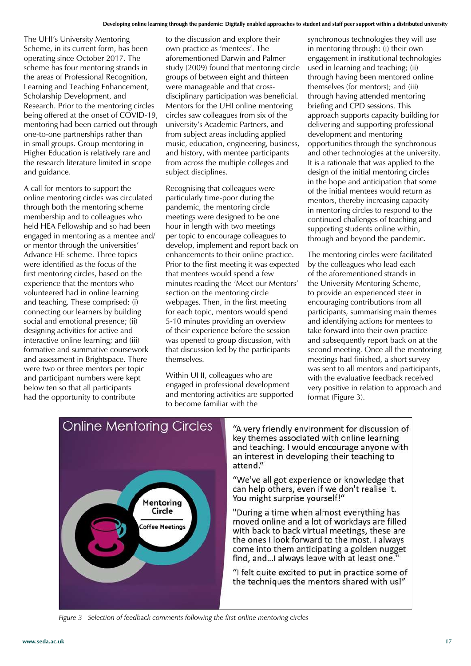The UHI's University Mentoring Scheme, in its current form, has been operating since October 2017. The scheme has four mentoring strands in the areas of Professional Recognition, Learning and Teaching Enhancement, Scholarship Development, and Research. Prior to the mentoring circles being offered at the onset of COVID-19, mentoring had been carried out through one-to-one partnerships rather than in small groups. Group mentoring in Higher Education is relatively rare and the research literature limited in scope and guidance.

A call for mentors to support the online mentoring circles was circulated through both the mentoring scheme membership and to colleagues who held HEA Fellowship and so had been engaged in mentoring as a mentee and/ or mentor through the universities' Advance HE scheme. Three topics were identified as the focus of the first mentoring circles, based on the experience that the mentors who volunteered had in online learning and teaching. These comprised: (i) connecting our learners by building social and emotional presence; (ii) designing activities for active and interactive online learning; and (iii) formative and summative coursework and assessment in Brightspace. There were two or three mentors per topic and participant numbers were kept below ten so that all participants had the opportunity to contribute

to the discussion and explore their own practice as 'mentees'. The aforementioned Darwin and Palmer study (2009) found that mentoring circle groups of between eight and thirteen were manageable and that crossdisciplinary participation was beneficial. Mentors for the UHI online mentoring circles saw colleagues from six of the university's Academic Partners, and from subject areas including applied music, education, engineering, business, and history, with mentee participants from across the multiple colleges and subject disciplines.

Recognising that colleagues were particularly time-poor during the pandemic, the mentoring circle meetings were designed to be one hour in length with two meetings per topic to encourage colleagues to develop, implement and report back on enhancements to their online practice. Prior to the first meeting it was expected that mentees would spend a few minutes reading the 'Meet our Mentors' section on the mentoring circle webpages. Then, in the first meeting for each topic, mentors would spend 5-10 minutes providing an overview of their experience before the session was opened to group discussion, with that discussion led by the participants themselves.

Within UHI, colleagues who are engaged in professional development and mentoring activities are supported to become familiar with the

synchronous technologies they will use in mentoring through: (i) their own engagement in institutional technologies used in learning and teaching; (ii) through having been mentored online themselves (for mentors); and (iii) through having attended mentoring briefing and CPD sessions. This approach supports capacity building for delivering and supporting professional development and mentoring opportunities through the synchronous and other technologies at the university. It is a rationale that was applied to the design of the initial mentoring circles in the hope and anticipation that some of the initial mentees would return as mentors, thereby increasing capacity in mentoring circles to respond to the continued challenges of teaching and supporting students online within, through and beyond the pandemic.

The mentoring circles were facilitated by the colleagues who lead each of the aforementioned strands in the University Mentoring Scheme, to provide an experienced steer in encouraging contributions from all participants, summarising main themes and identifying actions for mentees to take forward into their own practice and subsequently report back on at the second meeting. Once all the mentoring meetings had finished, a short survey was sent to all mentors and participants, with the evaluative feedback received very positive in relation to approach and format (Figure 3).



"A very friendly environment for discussion of key themes associated with online learning and teaching. I would encourage anyone with an interest in developing their teaching to attend."

"We've all got experience or knowledge that can help others, even if we don't realise it. You might surprise yourself!"

"During a time when almost everything has moved online and a lot of workdays are filled with back to back virtual meetings, these are the ones I look forward to the most. I always come into them anticipating a golden nugget find, and...I always leave with at least one.

"I felt quite excited to put in practice some of the techniques the mentors shared with us!"

*Figure 3 Selection of feedback comments following the first online mentoring circles*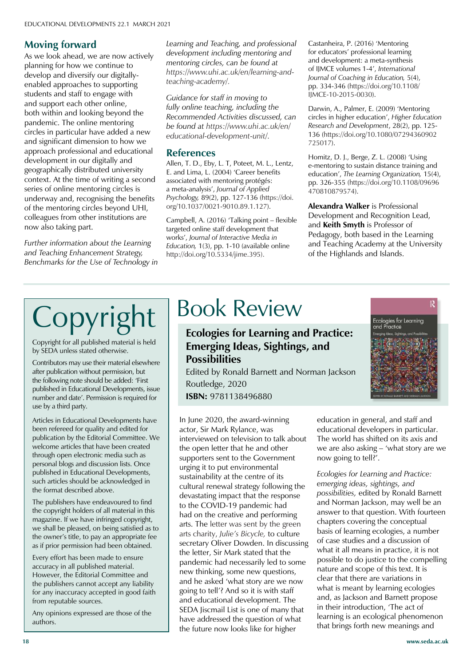#### Moving forward **Moving forward**

As we look affead, we are flow at<br>planning for how we continue to<br>develop and diversify our digitally enabled approaches to supporting<br>students and staff to engage with and support eacn other online,<br>both within and looking beyond the pandemic. The online mentoring circles in particular have added a new approach professional and educational development in our digitally and context. At the time of writing a second series of online mentoring circles is **Dr Peter Gossman** of the mentoring circles beyond UHI, colleagues from other institutions are **Professor Alison James** now also taking part. As we look ahead, we are now actively develop and diversify our digitallystudents and staff to engage with and support each other online, and significant dimension to how we geographically distributed university underway and, recognising the benefits

Further information about the Learning **Benchmarks** for t *Benchmarks for the Use of Technology in and Teaching Enhancement Strategy,* 

DEVELOPMENTS

**Ellie Russell**

*Learning and Teaching, and professional development including mentoring and mentoring circles, can be found at https://www.uhi.ac.uk/en/learning-andteaching-academy/.*

*Guidance for staff in moving to fully online teaching, including the Recommended Activities discussed, can be found at https://www.uhi.ac.uk/en/ educational-development-unit/.*

#### **References**

Allen, T. D., Eby, L. T, Poteet, M. L., Lentz, E. and Lima, L. (2004) 'Career benefits associated with mentoring protégés: a meta-analysis', *Journal of Applied Psychology,* 89(2), pp. 127-136 (https://doi. org/10.1037/0021-9010.89.1.127).

Campbell, A. (2016) 'Talking point – flexible targeted online staff development that works', *Journal of Interactive Media in Education,* 1(3), pp. 1-10 (available online http://doi.org/10.5334/jime.395).

Castanheira, P. (2016) 'Mentoring for educators' professional learning and development: a meta-synthesis of IJMCE volumes 1-4', *International Journal of Coaching in Education,* 5(4), pp. 334-346 (https://doi.org/10.1108/ IJMCE-10-2015-0030).

Darwin, A., Palmer, E. (2009) 'Mentoring circles in higher education', *Higher Education Research and Development*, 28(2), pp. 125- 136 (https://doi.org/10.1080/07294360902 725017).

Homitz, D. J., Berge, Z. L. (2008) 'Using e-mentoring to sustain distance training and education', *The Learning Organization,* 15(4), pp. 326-355 (https://doi.org/10.1108/09696 470810879574).

**Alexandra Walker** is Professional Development and Recognition Lead, and **Keith Smyth** is Professor of Pedagogy, both based in the Learning and Teaching Academy at the University of the Highlands and Islands.

#### National Union of Students  $\Gamma$  contractor I CODVIIE **Professor Interval and Alle Copyright for all published material is held The Magazine of SEDA** Copyright | Book Review

 $\frac{1}{2}$  by SEDA unless stated otherwise.

**Dr W. Alan William William William William Wright Contributors may use their material elsewhere** aller publication without permission, but<br>the following note should be added: 'First after publication without permission, but Interfollowing note should be added. This<br>published in Educational Developments, issue **Dr John Boston Bostock**<br>Drugo by a third party  $\vert$  use by a third party. number and date'. Permission is required for

Articles in Equational Developments has<br>been refereed for quality and edited for<br>publication by the Editorial Committee **Annual Subscription Rates** welcome articles that have been created **Individual subscriptions are h** through open electronic media such as personal blogs and discussion lists. Once profisited in Educational Developments,<br>such articles should be acknowledged in the format described above. publication by the Editorial Committee. We Articles in Educational Developments have published in Educational Developments,

The publishers have endeavoured to find the publishers have endeavoured to find<br>the copyright holders of all material in this magazine. If we have infringed copyright,  $\vert$  we shall be pleased, on being satisfied as to the owner's title, to pay an appropriate fee as if prior permission had been obtained.

**Professor in all published material.**  $\parallel$  However, the Editorial Committee and  $\parallel$  the publishers cannot accept any liability Fig. and mateurally accepted in good. **Professor Cambe accept any named for any inaccuracy accepted in good faith** Every effort has been made to ensure

receive copies of *Educational*  authors. Any opinions expressed are those of the<br> **Dr Writions**  $\blacksquare$  durings.

#### **Ecologies for Learning and Practice: Emerging Ideas, Sightings, and Possibilities**

Edited by Ronald Barnett and Norman Jackson Routledge, 2020

**ISBN:** 9781138496880

In June 2020, the award-winning actor, Sir Mark Rylance, was interviewed on television to talk about the open letter that he and other supporters sent to the Government urging it to put environmental sustainability at the centre of its cultural renewal strategy following the devastating impact that the response to the COVID-19 pandemic had had on the creative and performing arts. The letter was sent by the green arts charity, *Julie's Bicycle,* to culture secretary Oliver Dowden. In discussing the letter, Sir Mark stated that the pandemic had necessarily led to some new thinking, some new questions, and he asked 'what story are we now going to tell'? And so it is with staff and educational development. The SEDA Jiscmail List is one of many that have addressed the question of what the future now looks like for higher



education in general, and staff and educational developers in particular. The world has shifted on its axis and we are also asking – 'what story are we now going to tell?'.

*Ecologies for Learning and Practice: emerging ideas, sightings, and possibilities,* edited by Ronald Barnett and Norman Jackson, may well be an answer to that question. With fourteen chapters covering the conceptual basis of learning ecologies, a number of case studies and a discussion of what it all means in practice, it is not possible to do justice to the compelling nature and scope of this text. It is clear that there are variations in what is meant by learning ecologies and, as Jackson and Barnett propose in their introduction, 'The act of learning is an ecological phenomenon that brings forth new meanings and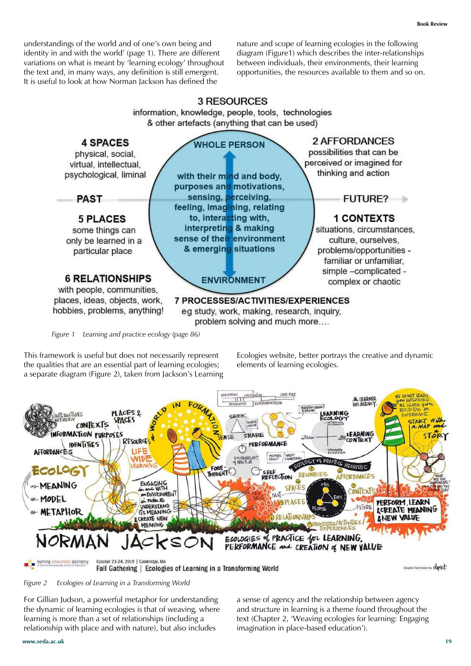understandings of the world and of one's own being and identity in and with the world' (page 1). There are different variations on what is meant by 'learning ecology' throughout the text and, in many ways, any definition is still emergent. It is useful to look at how Norman Jackson has defined the

nature and scope of learning ecologies in the following diagram (Figure1) which describes the inter-relationships between individuals, their environments, their learning opportunities, the resources available to them and so on.



*Figure 1 Learning and practice ecology (page 86)*

This framework is useful but does not necessarily represent the qualities that are an essential part of learning ecologies; a separate diagram (Figure 2), taken from Jackson's Learning Ecologies website, better portrays the creative and dynamic elements of learning ecologies.



*Figure 2 Ecologies of Learning in a Transforming World*

For Gillian Judson, a powerful metaphor for understanding the dynamic of learning ecologies is that of weaving, where learning is more than a set of relationships (including a relationship with place and with nature), but also includes

a sense of agency and the relationship between agency and structure in learning is a theme found throughout the text (Chapter 2, 'Weaving ecologies for learning: Engaging imagination in place-based education').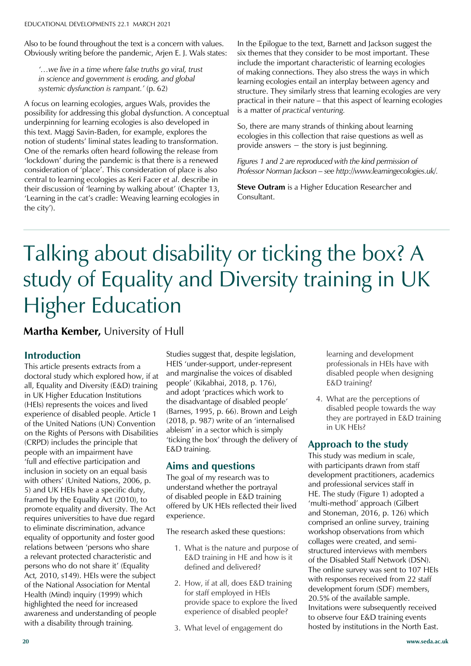Also to be found throughout the text is a concern with values. **The Magazine of SEDA** Obviously writing before the pandemic, Arjen E. J. Wals states:

Issue 19.4 **The 19.4** *Issue 19.44*<br>In science and government is eroding and global 2018 *systemic dysfunction is rampant.'* (p. 62) *in science and government is eroding, and global* 

A focus on learning ecologies, argues wais, provides the<br>possibility for addressing this global dysfunction. A conceptual **Amy Barlow** underpinning for learning ecologies is also developed in this text. Maggi Savin-Baden, for example, explores the One of the remarks often heard following the release from 'lockdown' during the pandemic is that there is a renewed central to learning ecologies as Keri Facer *et al*. describe in their discussion of 'learning by walking about' (Chapter 13, **Dr Peter Gossman** the city'). University of Worcester A focus on learning ecologies, argues Wals, provides the notion of students' liminal states leading to transformation. consideration of 'place'. This consideration of place is also 'Learning in the cat's cradle: Weaving learning ecologies in

In the Epilogue to the text, Barnett and Jackson suggest the six themes that they consider to be most important. These include the important characteristic of learning ecologies of making connections. They also stress the ways in which learning ecologies entail an interplay between agency and structure. They similarly stress that learning ecologies are very practical in their nature – that this aspect of learning ecologies is a matter of *practical venturing.* 

So, there are many strands of thinking about learning ecologies in this collection that raise questions as well as provide answers  $-$  the story is just beginning.

*Figures 1 and 2 are reproduced with the kind permission of Professor Norman Jackson – see http://www.learningecologies.uk/.*

**Steve Outram** is a Higher Education Researcher and Consultant.

### University of Winchester Talking about disability or ticking the box? A  $\frac{1}{\sqrt{2}}$ study of Equality and Diversity training in UK National Union of Students **Higher Education** When Glyndwr University and University

**Professor James Wisdom Martha Kember,** University of Hull

# **Introduction**

**Professor Alison James**

This article presents extracts from a doctoral study which explored how, if at of the United Nations (UN) Convention<br>on the Rights of Persons with Disabilities (CRPD) includes the principle that Individual subscriptions are £40 'full and effective participation and inclusion in society on an equal basis with others' (United Nations, 2006, p. show the contract material postage postage and UK HEIs have a specific duty, framed by the Equality Act (2010), to promote equality and diversity. The Act requires universities to have due regard to eliminate discrimination, advance equality of opportunity and foster good relations between 'persons who share persons who do not share it' (Equality Act, 2010, s149). HEIs were the subject of the National Association for Mental Health (Mind) inquiry (1999) which highlighted the need for increased<br> **Education** *Educational increased* awareness and differentiallering or position and disability through training. all, Equality and Diversity (E&D) training in UK Higher Education Institutions (HEIs) represents the voices and lived experience of disabled people. Article 1 of the United Nations (UN) Convention people with an impairment have a relevant protected characteristic and awareness and understanding of people

Studies suggest that, despite legislation, HEIS 'under-support, under-represent and marginalise the voices of disabled people' (Kikabhai, 2018, p. 176), and adopt 'practices which work to the disadvantage of disabled people' (Barnes, 1995, p. 66). Brown and Leigh (2018, p. 987) write of an 'internalised ableism' in a sector which is simply 'ticking the box' through the delivery of E&D training.

#### **Aims and questions**

The goal of my research was to understand whether the portrayal of disabled people in E&D training offered by UK HEIs reflected their lived experience.

The research asked these questions:

- 1. What is the nature and purpose of E&D training in HE and how is it defined and delivered?
- 2. How, if at all, does E&D training for staff employed in HEIs provide space to explore the lived experience of disabled people?
- 3. What level of engagement do

learning and development professionals in HEIs have with disabled people when designing E&D training?

4. What are the perceptions of disabled people towards the way they are portrayed in E&D training in UK HEIs?

#### **Approach to the study**

This study was medium in scale, with participants drawn from staff development practitioners, academics and professional services staff in HE. The study (Figure 1) adopted a 'multi-method' approach (Gilbert and Stoneman, 2016, p. 126) which comprised an online survey, training workshop observations from which collages were created, and semistructured interviews with members of the Disabled Staff Network (DSN). The online survey was sent to 107 HEIs with responses received from 22 staff development forum (SDF) members, 20.5% of the available sample. Invitations were subsequently received to observe four E&D training events hosted by institutions in the North East.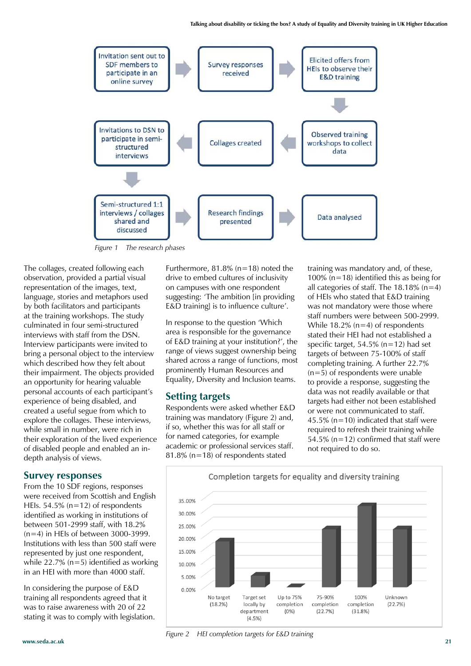

*Figure 1 The research phases*

The collages, created following each observation, provided a partial visual representation of the images, text, language, stories and metaphors used by both facilitators and participants at the training workshops. The study culminated in four semi-structured interviews with staff from the DSN. Interview participants were invited to bring a personal object to the interview which described how they felt about their impairment. The objects provided an opportunity for hearing valuable personal accounts of each participant's experience of being disabled, and created a useful segue from which to explore the collages. These interviews, while small in number, were rich in their exploration of the lived experience of disabled people and enabled an indepth analysis of views.

#### **Survey responses**

From the 10 SDF regions, responses were received from Scottish and English HEIs. 54.5% (n=12) of respondents identified as working in institutions of between 501-2999 staff, with 18.2%  $(n=4)$  in HEIs of between 3000-3999. Institutions with less than 500 staff were represented by just one respondent, while  $22.7\%$  (n=5) identified as working in an HEI with more than 4000 staff.

In considering the purpose of E&D training all respondents agreed that it was to raise awareness with 20 of 22 stating it was to comply with legislation. Furthermore,  $81.8\%$  (n=18) noted the drive to embed cultures of inclusivity on campuses with one respondent suggesting: 'The ambition [in providing E&D training] is to influence culture'.

In response to the question 'Which area is responsible for the governance of E&D training at your institution?', the range of views suggest ownership being shared across a range of functions, most prominently Human Resources and Equality, Diversity and Inclusion teams.

#### **Setting targets**

Respondents were asked whether E&D training was mandatory (Figure 2) and, if so, whether this was for all staff or for named categories, for example academic or professional services staff. 81.8% ( $n=18$ ) of respondents stated

training was mandatory and, of these, 100% (n=18) identified this as being for all categories of staff. The  $18.18\%$  (n=4) of HEIs who stated that E&D training was not mandatory were those where staff numbers were between 500-2999. While 18.2% (n=4) of respondents stated their HEI had not established a specific target, 54.5% (n=12) had set targets of between 75-100% of staff completing training. A further 22.7%  $(n=5)$  of respondents were unable to provide a response, suggesting the data was not readily available or that targets had either not been established or were not communicated to staff. 45.5% ( $n=10$ ) indicated that staff were required to refresh their training while 54.5% ( $n=12$ ) confirmed that staff were not required to do so.



*Figure 2 HEI completion targets for E&D training*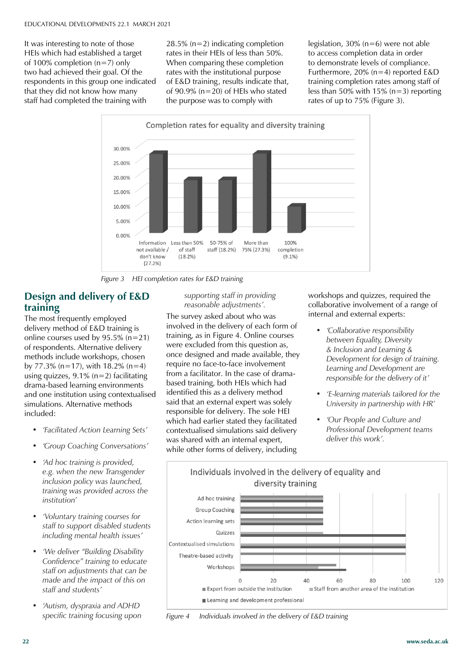It was interesting to note of those **The Magazine of SEDA** HEIs which had established a target of 100% completion ( $n=7$ ) only<br>two had achieved their goal. Of respondents in this group one indid<br>that they did not know how many staff had completed the training with<br> two had achieved their goal. Of the respondents in this group one indicated

28.5% (n=2) indicating completion rates in their HEIs of less than 50%. When comparing these completion rates with the institutional purpose of E&D training, results indicate that, of 90.9% (n=20) of HEIs who stated the purpose was to comply with

legislation, 30% (n=6) were not able to access completion data in order to demonstrate levels of compliance. Furthermore, 20% (n=4) reported E&D training completion rates among staff of less than 50% with 15% (n=3) reporting rates of up to 75% (Figure 3).



*Figure 3 HEI completion rates for E&D training*

#### **Design and delivery of E&D Professor Claire Taylor FSEDA training**

The most frequently employed online courses used by 95.5% (n=21) of respondents. Alternative delivery by 77.3% (n=17), with 18.2% (n=4) using quizzes, 9.1% (n=2) facilitating delivery method of E&D training is methods include workshops, chosen drama-based learning environments and one institution using contextualised simulations. Alternative methods included:

- 2018 (Vol.19) *• 'Facilitated Action Learning Sets'*
- **Annual Subscription Rates** *• 'Group Coaching Conversations'*
- *'Ad hoc training is provided,* sterling per year (4 issues) within *e.g. when the new Transgender*  the UK. Overseas subscribers *inclusion policy was launched,*  merasion policy was *hamelica*,<br>training was provided across the packing for delivery within the EU *institution'*
- *'Voluntary training courses for* pair to support assured st containing 4 issues) are available *including mental health issues' staff to support disabled students*
- *'We deliver "Building Disability* Confidence" training to educate staff on adjustments that can be<br>*staff* on adjustments that can be made and the imp<br>staff and students' *made and the impact of this on*
- receive copies of *Educational • 'Autism, dyspraxia and ADHD Developments. specific training focusing upon*

*supporting staff in providing reasonable adjustments'.*

The survey asked about who was involved in the delivery of each form of training, as in Figure 4. Online courses were excluded from this question as, once designed and made available, they require no face-to-face involvement from a facilitator. In the case of dramabased training, both HEIs which had identified this as a delivery method said that an external expert was solely responsible for delivery. The sole HEI which had earlier stated they facilitated contextualised simulations said delivery was shared with an internal expert, while other forms of delivery, including

workshops and quizzes, required the collaborative involvement of a range of internal and external experts:

- *• 'Collaborative responsibility between Equality, Diversity & Inclusion and Learning & Development for design of training. Learning and Development are responsible for the delivery of it'*
- *• 'E-learning materials tailored for the University in partnership with HR'*
- *• 'Our People and Culture and Professional Development teams deliver this work'.*



*Figure 4 Individuals involved in the delivery of E&D training*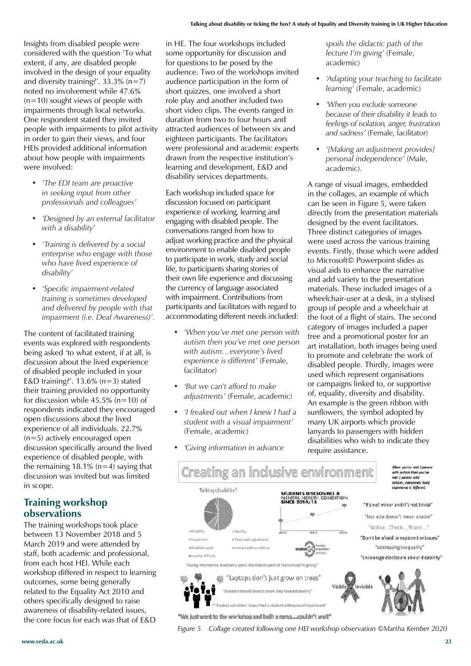Insights from disabled people were considered with the question 'To what extent, if any, are disabled people involved in the design of your equality and diversity training?'.  $33.3\%$  (n=7) noted no involvement while 47.6%  $(n=10)$  sought views of people with impairments through local networks. One respondent stated they invited people with impairments to pilot activity in order to gain their views, and four HEIs provided additional information about how people with impairments were involved:

- *• 'The EDI team are proactive in seeking input from other professionals and colleagues'*
- *• 'Designed by an external facilitator with a disability'*
- *• 'Training is delivered by a social enterprise who engage with those who have lived experience of disability'*
- *• 'Specific impairment-related training is sometimes developed and delivered by people with that impairment (i.e. Deaf Awareness)'.*

The content of facilitated training events was explored with respondents being asked 'to what extent, if at all, is discussion about the lived experience of disabled people included in your E&D training?'.  $13.6\%$  (n=3) stated their training provided no opportunity for discussion while 45.5% (n=10) of respondents indicated they encouraged open discussions about the lived experience of all individuals. 22.7% (n=5) actively encouraged open discussion specifically around the lived experience of disabled people, with the remaining 18.1% ( $n=4$ ) saying that discussion was invited but was limited in scope.

#### **Training workshop observations**

The training workshops took place between 13 November 2018 and 5 March 2019 and were attended by staff, both academic and professional, from each host HEI. While each workshop differed in respect to learning outcomes, some being generally related to the Equality Act 2010 and others specifically designed to raise awareness of disability-related issues, the core focus for each was that of E&D in HE. The four workshops included some opportunity for discussion and for questions to be posed by the audience. Two of the workshops invited audience participation in the form of short quizzes, one involved a short role play and another included two short video clips. The events ranged in duration from two to four hours and attracted audiences of between six and eighteen participants. The facilitators were professional and academic experts drawn from the respective institution's learning and development, E&D and disability services departments.

Each workshop included space for discussion focused on participant experience of working, learning and engaging with disabled people. The conversations ranged from how to adjust working practice and the physical environment to enable disabled people to participate in work, study and social life, to participants sharing stories of their own life experience and discussing the currency of language associated with impairment. Contributions from participants and facilitators with regard to accommodating different needs included:

- *• 'When you've met one person with autism then you've met one person with autism…everyone's lived experience is different'* (Female, facilitator)
- *• 'But we can't afford to make adjustments'* (Female, academic)
- *• 'I freaked out when I knew I had a student with a visual impairment'*  (Female, academic)
- *• 'Giving information in advance*

*spoils the didactic path of the lecture I'm giving'* (Female, academic)

- *• 'Adapting your teaching to facilitate learning'* (Female, academic)
- *• 'When you exclude someone because of their disability it leads to feelings of isolation, anger, frustration and sadness'* (Female, facilitator)
- *• '[Making an adjustment provides] personal independence'* (Male, academic)*.*

A range of visual images, embedded in the collages, an example of which can be seen in Figure 5, were taken directly from the presentation materials designed by the event facilitators. Three distinct categories of images were used across the various training events. Firstly, those which were added to Microsoft© Powerpoint slides as visual aids to enhance the narrative and add variety to the presentation materials. These included images of a wheelchair-user at a desk, in a stylised group of people and a wheelchair at the foot of a flight of stairs. The second category of images included a paper tree and a promotional poster for an art installation, both images being used to promote and celebrate the work of disabled people. Thirdly, images were used which represent organisations or campaigns linked to, or supportive of, equality, diversity and disability. An example is the green ribbon with sunflowers, the symbol adopted by many UK airports which provide lanyards to passengers with hidden disabilities who wish to indicate they require assistance.



"We just went to the workshop and built a ramp....couldn't wait"

*Figure 5 Collage created following one HEI workshop observation ©Martha Kember 2020*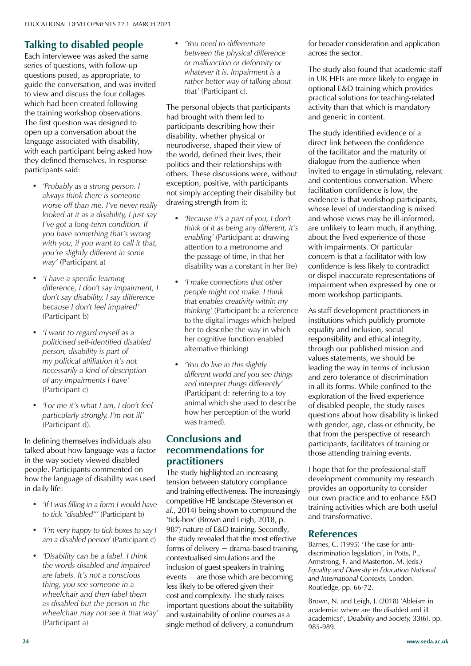#### Talking to disabled ned **Talking to disabled people**

Lacri little viewee was asked the said<br>series of questions, with follow-up<br>questions posed, as appropriate, to guide the conversation, and was invited<br>to view and discuss the four collages which had been created following<br>the training workshop observations. **Amy Barlow** The first question was designed to open up a conversation about the with each participant being asked how they defined themselves. In response **Dr Carole Davis** Each interviewee was asked the same questions posed, as appropriate, to to view and discuss the four collages which had been created following language associated with disability, participants said:

- Queen Mary University of London *• 'Probably as a strong person. I*  worse off than me. I've never really *looked at it as a disability, I just say* **Professor Alison James** *you have something that's wrong with you, if you want to call it that,* way' (Partic *way'* (Participant a) *always think there is someone I've got a long-term condition. If you're slightly different in some*
- **Ellie Russell** *difference, I don't say impairment, I*  don't say disability, I say difference **Professor Claire Taylor FSEDA** (Participant b)  $\sum_{i=1}^{n}$  Gregorian  $\frac{1}{n}$ *• 'I have a specific learning because I don't feel impaired'*
- **Professor James Wisdom** *politicised self-identified disabled person, disability is part of Drive pontical allination it s not necessarily a kind of description* University of Windsor, Canada *of any impairments I have' • 'I want to regard myself as a my political affiliation it's not*  (Participant c)
- 2018 (Vol.19) (Participant d)*. • 'For me it's what I am, I don't feel particularly strongly, I'm not ill'*

**Annual Subscription Rates** In defining themselves individuals also In the way society viewed disabled people. Participants commented on how the language of disability was used  $\frac{1}{2}$  in daily life: talked about how language was a factor

- packing for delivery within the EU • *'If I was filling in a form I would have* world. *to tick "disabled"'* (Participant b)
- *'I'm very happy to tick boxes to say I* am a disabled person' (Participant c)
- for £290 sterling. *• 'Disability can be a label. I think*  the words disabled and impaired are labels. It's not a conscious are labels. It's not a conscious<br>thing, you see someone in a wheelchall and their laber them<br>as disabled but the person in the receive copies of *Educational wheelchair may not see it that way' Developments.* (Participant a) *wheelchair and then label them*

*• 'You need to differentiate between the physical difference or malfunction or deformity or whatever it is. Impairment is a rather better way of talking about*  that' (Participant c).

The personal objects that participants had brought with them led to participants describing how their disability, whether physical or neurodiverse, shaped their view of the world, defined their lives, their politics and their relationships with others. These discussions were, without exception, positive, with participants not simply accepting their disability but drawing strength from it:

- *• 'Because it's a part of you, I don't think of it as being any different, it's enabling'* (Participant a: drawing attention to a metronome and the passage of time, in that her disability was a constant in her life)
- *• 'I make connections that other people might not make. I think that enables creativity within my thinking'* (Participant b: a reference to the digital images which helped her to describe the way in which her cognitive function enabled alternative thinking)
- *• 'You do live in this slightly different world and you see things and interpret things differently'*  (Participant d: referring to a toy animal which she used to describe how her perception of the world was framed)*.*

#### **Conclusions and recommendations for practitioners**

The study highlighted an increasing tension between statutory compliance and training effectiveness. The increasingly competitive HE landscape (Stevenson *et al*., 2014) being shown to compound the 'tick-box' (Brown and Leigh, 2018, p. 987) nature of E&D training. Secondly, the study revealed that the most effective forms of delivery – drama-based training, contextualised simulations and the inclusion of guest speakers in training events − are those which are becoming less likely to be offered given their cost and complexity. The study raises important questions about the suitability and sustainability of online courses as a single method of delivery, a conundrum

for broader consideration and application across the sector.

The study also found that academic staff in UK HEIs are more likely to engage in optional E&D training which provides practical solutions for teaching-related activity than that which is mandatory and generic in content.

The study identified evidence of a direct link between the confidence of the facilitator and the maturity of dialogue from the audience when invited to engage in stimulating, relevant and contentious conversation. Where facilitation confidence is low, the evidence is that workshop participants, whose level of understanding is mixed and whose views may be ill-informed, are unlikely to learn much, if anything, about the lived experience of those with impairments. Of particular concern is that a facilitator with low confidence is less likely to contradict or dispel inaccurate representations of impairment when expressed by one or more workshop participants.

As staff development practitioners in institutions which publicly promote equality and inclusion, social responsibility and ethical integrity, through our published mission and values statements, we should be leading the way in terms of inclusion and zero tolerance of discrimination in all its forms. While confined to the exploration of the lived experience of disabled people, the study raises questions about how disability is linked with gender, age, class or ethnicity, be that from the perspective of research participants, facilitators of training or those attending training events.

I hope that for the professional staff development community my research provides an opportunity to consider our own practice and to enhance E&D training activities which are both useful and transformative.

#### **References**

Barnes, C. (1995) 'The case for antidiscrimination legislation', in Potts, P., Armstrong, F. and Masterton, M. (eds.) *Equality and Diversity in Education National and International Contexts,* London: Routledge, pp. 66-72.

Brown, N. and Leigh, J. (2018) 'Ableism in academia: where are the disabled and ill academics?', *Disability and Society,* 33(6), pp. 985-989.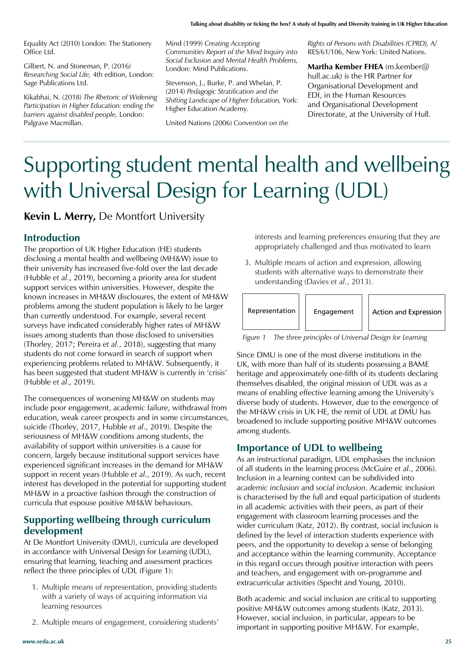Equality Act (2010) London: The Stationery Office Ltd.

Gilbert, N. and Stoneman, P. (2016) *Researching Social Life,* 4th edition, London: Sage Publications Ltd.

Kikabhai, N. (2018) *The Rhetoric of Widening Participation in Higher Education: ending the barriers against disabled people,* London: Palgrave Macmillan.

Mind (1999) *Creating Accepting Communities Report of the Mind Inquiry into Social Exclusion and Mental Health Problems,*  London: Mind Publications.

Stevenson, J., Burke, P. and Whelan, P. (2014) *Pedagogic Stratification and the Shifting Landscape of Higher Education,* York: Higher Education Academy.

United Nations (2006) *Convention on the* 

*Rights of Persons with Disabilities (CPRD),* A/ RES/61/106, New York: United Nations.

**Martha Kember FHEA** (m.kember@ hull.ac.uk) is the HR Partner for Organisational Development and EDI, in the Human Resources and Organisational Development Directorate, at the University of Hull.

# Supporting student mental health and wellbeing with Universal Design for Learning (UDL)

**Kevin L. Merry,** De Montfort University

#### **Introduction**

The proportion of UK Higher Education (HE) students disclosing a mental health and wellbeing (MH&W) issue to their university has increased five-fold over the last decade (Hubble *et al*., 2019), becoming a priority area for student support services within universities. However, despite the known increases in MH&W disclosures, the extent of MH&W problems among the student population is likely to be larger than currently understood. For example, several recent surveys have indicated considerably higher rates of MH&W issues among students than those disclosed to universities (Thorley, 2017; Pereira *et al.*, 2018), suggesting that many students do not come forward in search of support when experiencing problems related to MH&W. Subsequently, it has been suggested that student MH&W is currently in 'crisis' (Hubble *et al*., 2019).

The consequences of worsening MH&W on students may include poor engagement, academic failure, withdrawal from education, weak career prospects and in some circumstances, suicide (Thorley, 2017, Hubble *et al*., 2019). Despite the seriousness of MH&W conditions among students, the availability of support within universities is a cause for concern, largely because institutional support services have experienced significant increases in the demand for MH&W support in recent years (Hubble *et al*., 2019). As such, recent interest has developed in the potential for supporting student MH&W in a proactive fashion through the construction of curricula that espouse positive MH&W behaviours.

#### **Supporting wellbeing through curriculum development**

At De Montfort University (DMU), curricula are developed in accordance with Universal Design for Learning (UDL), ensuring that learning, teaching and assessment practices reflect the three principles of UDL (Figure 1):

- 1. Multiple means of representation, providing students with a variety of ways of acquiring information via learning resources
- 2. Multiple means of engagement, considering students'

interests and learning preferences ensuring that they are appropriately challenged and thus motivated to learn

3. Multiple means of action and expression, allowing students with alternative ways to demonstrate their understanding (Davies *et al.*, 2013).



*Figure 1 The three principles of Universal Design for Learning* 

Since DMU is one of the most diverse institutions in the UK, with more than half of its students possessing a BAME heritage and approximately one-fifth of its students declaring themselves disabled, the original mission of UDL was as a means of enabling effective learning among the University's diverse body of students. However, due to the emergence of the MH&W crisis in UK HE, the remit of UDL at DMU has broadened to include supporting positive MH&W outcomes among students.

#### **Importance of UDL to wellbeing**

As an instructional paradigm, UDL emphasises the inclusion of all students in the learning process (McGuire *et al*., 2006). Inclusion in a learning context can be subdivided into *academic inclusion* and *social inclusion*. Academic inclusion is characterised by the full and equal participation of students in all academic activities with their peers, as part of their engagement with classroom learning processes and the wider curriculum (Katz, 2012). By contrast, social inclusion is defined by the level of interaction students experience with peers, and the opportunity to develop a sense of belonging and acceptance within the learning community. Acceptance in this regard occurs through positive interaction with peers and teachers, and engagement with on-programme and extracurricular activities (Specht and Young, 2010).

Both academic and social inclusion are critical to supporting positive MH&W outcomes among students (Katz, 2013). However, social inclusion, in particular, appears to be important in supporting positive MH&W. For example,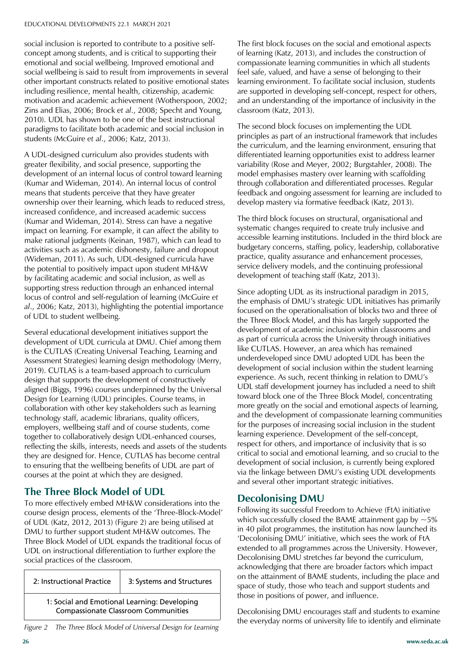social inclusion is reported to contribute to a positive self-Fragments of Separate of Separate concept among students, and is critical to supporting their emotional and social wellbeing. Improved emotional and<br>social wellbeing is said to result from improvements in several other important constructs related to positive emotional st<br>including resilience, mental health, citizenship, academic Editorial Committee Zins and Elias, 2006; Brock *et al*., 2008; Specht and Young, **Amy Barlow** paradigms to facilitate both academic and social inclusion in University of Portsmouth students (McGuire *et al*., 2006; Katz, 2013). social wellbeing is said to result from improvements in several other important constructs related to positive emotional states motivation and academic achievement (Wotherspoon, 2002; 2010). UDL has shown to be one of the best instructional

A UDL-designed curriculum also provides students with Figure 1 and greater flexibility, and social presence, supporting the development of an internal locus of control toward learning<br>(*Kumar* and *Midoman*, 2014), An internal locus of control (Kumar and Wideman, 2014). An internal locus of control<br>means that students persolius that they have greater ownership over their learning, which leads to reduced stress, increased confidence, and increased academic success impact on learning. For example, it can affect the ability to make rational judgments (Keinan, 1987), which can lead to (Wideman, 2011). As such, UDL-designed curricula have the potential to positively impact upon student MH&W supporting stress reduction through an enhanced internal locus of control and self-regulation of learning (McGuire *et* art, 2000, Rad, 2019), inginghang a of UDL to student wellbeing. means that students perceive that they have greater (Kumar and Wideman, 2014). Stress can have a negative activities such as academic dishonesty, failure and dropout by facilitating academic and social inclusion, as well as *al*., 2006; Katz, 2013), highlighting the potential importance

**Professor James Wisdom** development of UDL curricula at DMU. Chief among them is the CUTLAS (Creating Universal Teaching, Learning and Assessment strategies, rearring design methodology (Methodology) University of Windsor, Canada design that supports the development of constructively employers, wellbeing staff and of course students, come<br>together to collaboratively design UDI-enhanced course reflecting the skills, interests, needs and assets of the students they are designed for. Hence, CUTLAS has become central to ensuring that the wellbeing benefits of UDL are part of courses at the point at which they are designed. Several educational development initiatives support the Assessment Strategies) learning design methodology (Merry, aligned (Biggs, 1996) courses underpinned by the Universal Design for Learning (UDL) principles. Course teams, in collaboration with other key stakeholders such as learning technology staff, academic librarians, quality officers, together to collaboratively design UDL-enhanced courses,

#### $\sum_{n=1}^{\infty}$   $\sum_{n=1}^{\infty}$   $\sum_{n=1}^{\infty}$   $\sum_{n=1}^{\infty}$   $\sum_{n=1}^{\infty}$   $\sum_{n=1}^{\infty}$   $\sum_{n=1}^{\infty}$   $\sum_{n=1}^{\infty}$   $\sum_{n=1}^{\infty}$   $\sum_{n=1}^{\infty}$   $\sum_{n=1}^{\infty}$   $\sum_{n=1}^{\infty}$   $\sum_{n=1}^{\infty}$   $\sum_{n=1}^{\infty}$   $\sum_{n=1}^{\in$ **The Three Block Model of UDL**

To more effectively embed MH&W considerations into the course design process, elements of the 'Three-Block-Model'<br>
course design process, elements of the 'Three-Block-Model' DMU to further support student MH&W outcomes. The Three Block Model of UDL expands the traditional focus of UDL on instructional differentiation to further explore the social practices of the classroom. of UDL (Katz, 2012, 2013) (Figure 2) are being utilised at

| 2: Instructional Practice                                                                  | 3: Systems and Structures |  |  |
|--------------------------------------------------------------------------------------------|---------------------------|--|--|
| 1: Social and Emotional Learning: Developing<br><b>Compassionate Classroom Communities</b> |                           |  |  |

The first block focuses on the social and emotional aspects of learning (Katz, 2013), and includes the construction of compassionate learning communities in which all students feel safe, valued, and have a sense of belonging to their learning environment. To facilitate social inclusion, students are supported in developing self-concept, respect for others, and an understanding of the importance of inclusivity in the classroom (Katz, 2013).

The second block focuses on implementing the UDL principles as part of an instructional framework that includes the curriculum, and the learning environment, ensuring that differentiated learning opportunities exist to address learner variability (Rose and Meyer, 2002; Burgstahler, 2008). The model emphasises mastery over learning with scaffolding through collaboration and differentiated processes. Regular feedback and ongoing assessment for learning are included to develop mastery via formative feedback (Katz, 2013).

The third block focuses on structural, organisational and systematic changes required to create truly inclusive and accessible learning institutions. Included in the third block are budgetary concerns, staffing, policy, leadership, collaborative practice, quality assurance and enhancement processes, service delivery models, and the continuing professional development of teaching staff (Katz, 2013).

Since adopting UDL as its instructional paradigm in 2015, the emphasis of DMU's strategic UDL initiatives has primarily focused on the operationalisation of blocks two and three of the Three Block Model, and this has largely supported the development of academic inclusion within classrooms and as part of curricula across the University through initiatives like CUTLAS. However, an area which has remained underdeveloped since DMU adopted UDL has been the development of social inclusion within the student learning experience. As such, recent thinking in relation to DMU's UDL staff development journey has included a need to shift toward block one of the Three Block Model, concentrating more greatly on the social and emotional aspects of learning, and the development of compassionate learning communities for the purposes of increasing social inclusion in the student learning experience. Development of the self-concept, respect for others, and importance of inclusivity that is so critical to social and emotional learning, and so crucial to the development of social inclusion, is currently being explored via the linkage between DMU's existing UDL developments and several other important strategic initiatives.

#### **Decolonising DMU**

Following its successful Freedom to Achieve (FtA) initiative which successfully closed the BAME attainment gap by  $\sim$  5% in 40 pilot programmes, the institution has now launched its 'Decolonising DMU' initiative, which sees the work of FtA extended to all programmes across the University. However, Decolonising DMU stretches far beyond the curriculum, acknowledging that there are broader factors which impact on the attainment of BAME students, including the place and space of study, those who teach and support students and those in positions of power, and influence.

Decolonising DMU encourages staff and students to examine the everyday norms of university life to identify and eliminate *Figure 2 The Three Block Model of Universal Design for Learning*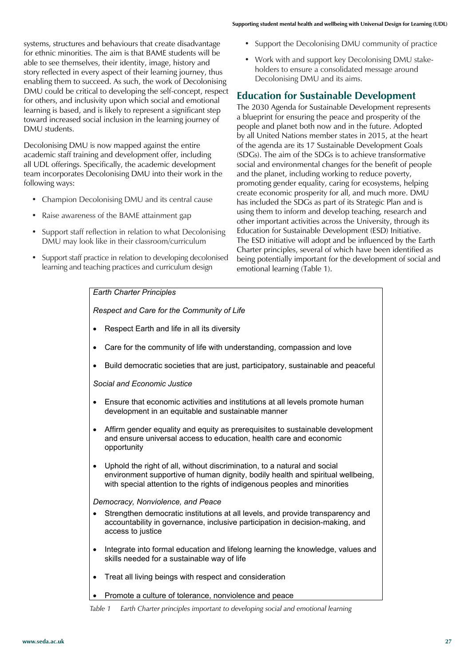systems, structures and behaviours that create disadvantage for ethnic minorities. The aim is that BAME students will be able to see themselves, their identity, image, history and story reflected in every aspect of their learning journey, thus enabling them to succeed. As such, the work of Decolonising enabiling them to succeed. As such, the work or Decolomising<br>DMU could be critical to developing the self-concept, respect for others, and inclusivity upon which social and emotional **the state**<br>The learning is based, and is likely to represent a significant step line 2030 Agenda i toward increased social inclusion in the learning journey of DMU students. ery appect of their learning Journey, thus<br>creed As such the work of Decolonising Decolonising DMU and its aims.

Decolonising DMU is now mapped against the entire academic staff training and development offer, including all UDL offerings. Specifically, the academic development team incorporates Decolonising DMU into their work in the  $\;\;\;\;$  and the planet, including working to following ways:

- Champion Decolonising DMU and its central cause
- Raise awareness of the BAME attainment gap
- Support staff reflection in relation to what Decolonising DMU may look like in their classroom/curriculum
- Support staff practice in relation to developing decolonised being potentially important for the dev learning and teaching practices and curriculum design emotional learning (Table 1). social and emotional learning (Table 1).
- Support the Decolonising DMU community of practice
- Work with and support key Decolonising DMU stakeholders to ensure a consolidated message around

#### **Education developing the sen-concept, respect Education for Sustainable Development**

The 2030 Agenda for Sustainable Development represents a blueprint for ensuring the peace and prosperity of the ed inclusion in the learning journey of the support of ensuring the peace and prosperity of the people and planet both now and in the future. Adopted people and planet boarmow and in the rattice. Adopted by all United Nations member states in 2015, at the heart of the agenda are its 17 Sustainable Development Goals (SDGs). The aim of the SDGs is to achieve transformative becifically, the academic development social and environmental changes for the benefit of people and the planet, including working to reduce poverty, promoting gender equality, caring for ecosystems, helping create economic prosperity for all, and much more. DMU create economic prosperity for all, and much more. DMU colonising DMO and its central cause last included the SDGs as part of its Strategic Plan and is planet of the BAME attainment gan by using them to inform and develop teaching, research and so the BAVIE attainment gap other important activities across the University, through its eflection in relation to what Decolonising Education for Sustainable Development (ESD) Initiative. k like in their classroom/curriculum and the ESD initiative will adopt and be influenced by the Earth Through its Education for Sustainable Charter principles, several of which have been identified as being potentially important for the development of social and emotional learning (Table 1).

#### *Earth Charter Principles*

*Respect and Care for the Community of Life*

- Respect Earth and life in all its diversity
- Care for the community of life with understanding, compassion and love
- Build democratic societies that are just, participatory, sustainable and peaceful

*Social and Economic Justice*

- Ensure that economic activities and institutions at all levels promote human development in an equitable and sustainable manner
- Affirm gender equality and equity as prerequisites to sustainable development and ensure universal access to education, health care and economic opportunity
- Uphold the right of all, without discrimination, to a natural and social environment supportive of human dignity, bodily health and spiritual wellbeing, with special attention to the rights of indigenous peoples and minorities

*Democracy, Nonviolence, and Peace*

- Strengthen democratic institutions at all levels, and provide transparency and accountability in governance, inclusive participation in decision-making, and access to justice
- Integrate into formal education and lifelong learning the knowledge, values and skills needed for a sustainable way of life
- Treat all living beings with respect and consideration
- Promote a culture of tolerance, nonviolence and peace

*Table 1 Earth Charter principles important to developing social and emotional learning*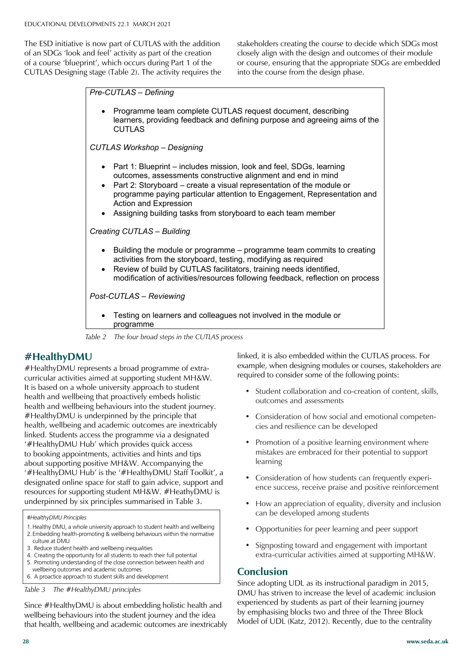The ESD initiative is now part of CUTLAS with the addition stakeholders creating the course to decidently **The Magazine of SEDA** of an SDGs 'look and feel' activity as part of the creation of a course 'blueprint', which occurs during Part 1 of the or course, ensuring that the approp<br>CUTLAS Designing stage (Table 2). The activity requires the into the course from the design pha  $\sf CUTLAS$  Designing stage (Table 2). The activity requires the  $\qquad$  into the

is now part of CUTLAS with the addition stakeholders creating the course to decide which SDGs most nd feel' activity as part of the creation closely align with the design and outcomes of their module or course, ensuring that the appropriate SDGs are embedded into the course from the design phase.

*Pre-CUTLAS – Defining*

• Programme team complete CUTLAS request document, describing University of Portsmouth learners, providing feedback and defining purpose and agreeing aims of the CUTLAS

**Dr John Bostock** *CUTLAS Workshop – Designing*

- Part 1: Blueprint includes mission, look and feel, SDGs, learning outcomes, assessments constructive alignment and end in mind
- Part 2: Storyboard create a visual representation of the module or **Dr Peter Gossman** programme paying particular attention to Engagement, Representation and Action and Expression
- University of Worcester • Assigning building tasks from storyboard to each team member

**Professor Alison James** *Creating CUTLAS – Building*

- University of Winchester • Building the module or programme – programme team commits to creating activities from the storyboard, testing, modifying as required
- Review of build by CUTLAS facilitators, training needs identified, modification of activities/resources following feedback, reflection on process

**Post-CUTLAS – Reviewing** 

**Professor Faroda** • Testing on learners and colleagues not involved in the module or **Elisabeth Cham Glyndwr University** 

**Professor James Wisdom** *Table 2 The four broad steps in the CUTLAS process*

#### Higher Education Consultant **#HealthyDMU**

Edge Hill University

**Dr Carole Davis**

#HealthyDMU represents a broad programme of extracurricular activities aimed at supporting student MH&W. health, wellbeing and academic outcomes are inextricablinked. Students access the programme via a designated '#HealthyDMU Hub' which provides quick access to booking appointments, activities and hints and tips about supporting positive MH&W. Accompanying the  $(4.1 \cdot 1)$  $\pi$ TreaturyDNO Tiup is the  $\pi$ designated online space for staff to gain advice, support and<br>resources for supporting atudent MUSM( $#$ Hesthe DMU produces for supporting student *i*n underpinned by six principles summarised in Table 3.<br>
———————————————————— It is based on a whole university approach to student health and wellbeing that proactively embeds holistic health and wellbeing behaviours into the student journey. #HealthyDMU is underpinned by the principle that health, wellbeing and academic outcomes are inextricably '#HealthyDMU Hub' is the '#HealthyDMU Staff Toolkit', a resources for supporting student MH&W. #HeathyDMU is

world. *#HealthyDMU Principles*

- 1.Healthy DMU, a whole university approach to student health and wellbeing
- Packarity Divid, a whole university approach to student health and wellbeing<br>2. Embedding health-promoting & wellbeing behaviours within the normative | culture at DMU
- 3. Reduce student health and wellbeing inequalities
- 4. Creating the opportunity for all students to reach their full potential
- <sup>1</sup> 5. Promoting understanding of the close connection between health and wellbeing outcomes and academic outcomes
- 6. A proactice approach to student skills and development

*Table 3* The #HealthyDMU principles

NB SEDA members automatically Since #HealthyDMU is about embedding holistic health and wellbeing behaviours into the student journey and the idea that health, wellbeing and academic outcomes are inextricably linked, it is also embedded within the CUTLAS process. For example, when designing modules or courses, stakeholders are required to consider some of the following points:

- Student collaboration and co-creation of content, skills, outcomes and assessments
- Consideration of how social and emotional competencies and resilience can be developed
- Promotion of a positive learning environment where mistakes are embraced for their potential to support learning
- Consideration of how students can frequently experience success, receive praise and positive reinforcement
- How an appreciation of equality, diversity and inclusion can be developed among students
- Opportunities for peer learning and peer support
- Signposting toward and engagement with important extra-curricular activities aimed at supporting MH&W.

#### **Conclusion**

Since adopting UDL as its instructional paradigm in 2015, DMU has striven to increase the level of academic inclusion experienced by students as part of their learning journey by emphasising blocks two and three of the Three Block Model of UDL (Katz, 2012). Recently, due to the centrality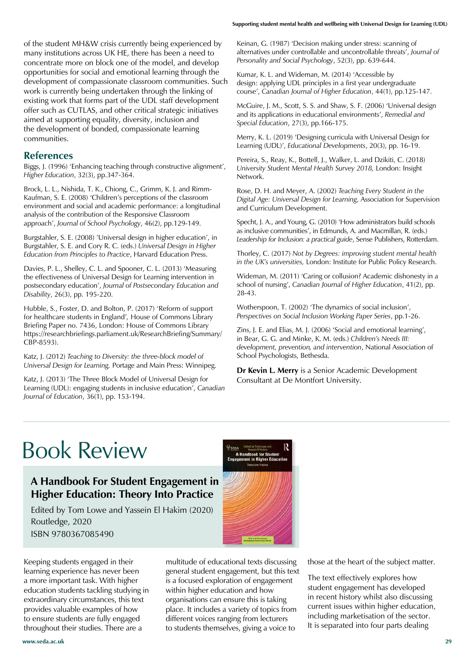of the student MH&W crisis currently being experienced by many institutions across UK HE, there has been a need to concentrate more on block one of the model, and develop opportunities for social and emotional learning through the development of compassionate classroom communities. Such work is currently being undertaken through the linking of existing work that forms part of the UDL staff development offer such as CUTLAS, and other critical strategic initiatives aimed at supporting equality, diversity, inclusion and the development of bonded, compassionate learning communities.

#### **References**

Biggs, J. (1996) 'Enhancing teaching through constructive alignment', *Higher Education*, 32(3), pp.347-364.

Brock, L. L., Nishida, T. K., Chiong, C., Grimm, K. J. and Rimm-Kaufman, S. E. (2008) 'Children's perceptions of the classroom environment and social and academic performance: a longitudinal analysis of the contribution of the Responsive Classroom approach', *Journal of School Psychology*, 46(2), pp.129-149.

Burgstahler, S. E. (2008) 'Universal design in higher education', in Burgstahler, S. E. and Cory R. C. (eds.) *Universal Design in Higher Education from Principles to Practice*, Harvard Education Press.

Davies, P. L., Shelley, C. L. and Spooner, C. L. (2013) 'Measuring the effectiveness of Universal Design for Learning intervention in postsecondary education', *Journal of Postsecondary Education and Disability*, 26(3), pp. 195-220.

Hubble, S., Foster, D. and Bolton, P. (2017) 'Reform of support for healthcare students in England'*,* House of Commons Library Briefing Paper no. 7436, London: House of Commons Library https://researchbriefings.parliament.uk/ResearchBriefing/Summary/ CBP-8593).

Katz, J. (2012) *Teaching to Diversity: the three-block model of Universal Design for Learning,* Portage and Main Press: Winnipeg.

Katz, J. (2013) 'The Three Block Model of Universal Design for Learning (UDL): engaging students in inclusive education', *Canadian Journal of Education*, 36(1), pp. 153-194.

Keinan, G. (1987) 'Decision making under stress: scanning of alternatives under controllable and uncontrollable threats', *Journal of Personality and Social Psychology*, 52(3), pp. 639-644.

Kumar, K. L. and Wideman, M. (2014) 'Accessible by design: applying UDL principles in a first year undergraduate course', *Canadian Journal of Higher Education*, 44(1), pp.125-147.

McGuire, J. M., Scott, S. S. and Shaw, S. F. (2006) 'Universal design and its applications in educational environments', *Remedial and Special Education*, 27(3), pp.166-175.

Merry, K. L. (2019) 'Designing curricula with Universal Design for Learning (UDL)', *Educational Developments*, 20(3), pp. 16-19.

Pereira, S., Reay, K., Bottell, J., Walker, L. and Dzikiti, C. (2018) *University Student Mental Health Survey 2018,* London: Insight Network.

Rose, D. H. and Meyer, A. (2002) *Teaching Every Student in the Digital Age: Universal Design for Learning*, Association for Supervision and Curriculum Development.

Specht, J. A., and Young, G. (2010) 'How administrators build schools as inclusive communities', in Edmunds, A. and Macmillan, R. (eds.) *Leadership for Inclusion: a practical guide*, Sense Publishers, Rotterdam.

Thorley, C. (2017) *Not by Degrees: improving student mental health in the UK's universities,* London: Institute for Public Policy Research.

Wideman, M. (2011) 'Caring or collusion? Academic dishonesty in a school of nursing', *Canadian Journal of Higher Education*, 41(2), pp. 28-43.

Wotherspoon, T. (2002) 'The dynamics of social inclusion', *Perspectives on Social Inclusion Working Paper Series*, pp.1-26.

Zins, J. E. and Elias, M. J. (2006) 'Social and emotional learning', in Bear, G. G. and Minke, K. M. (eds.) *Children's Needs III: development, prevention, and intervention*, National Association of School Psychologists, Bethesda.

**Dr Kevin L. Merry** is a Senior Academic Development Consultant at De Montfort University.

# Book Review

### **A Handbook For Student Engagement in Higher Education: Theory Into Practice**

Edited by Tom Lowe and Yassein El Hakim (2020) Routledge, 2020 ISBN 9780367085490

Keeping students engaged in their learning experience has never been a more important task. With higher education students tackling studying in extraordinary circumstances, this text provides valuable examples of how to ensure students are fully engaged throughout their studies. There are a

multitude of educational texts discussing general student engagement, but this text is a focused exploration of engagement within higher education and how organisations can ensure this is taking place. It includes a variety of topics from different voices ranging from lecturers to students themselves, giving a voice to

A Handbo

those at the heart of the subject matter.

The text effectively explores how student engagement has developed in recent history whilst also discussing current issues within higher education, including marketisation of the sector. It is separated into four parts dealing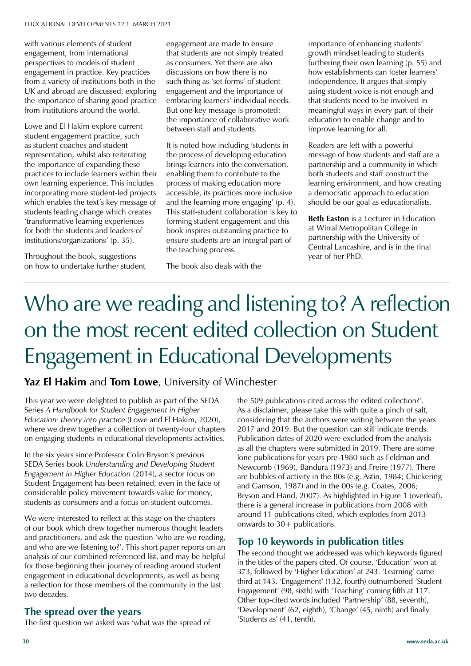with various elements of student man various elements or students perspectives to models of student<br>engagement in practice. Key pract from a variety of institutions both in the UK and abroad are discussed, exploring from institutions around the world. engagement in practice. Key practices from a variety of institutions both in the the importance of sharing good practice

Lowe and El Hakim explore current student engagement practice, such as station boddies and station. representation, minist also referant. practices to include learners within their<br>
purp learning oversignes. This includes own learning experience. This includes<br>incorporating more student led projects which enables the text's key message of students leading change which creates for both the students and leaders of institutions/organizations' (p. 35). as student coaches and student incorporating more student-led projects 'transformative learning experiences

Throughout the book, suggestions on how to undertake further student

**Ellie Russell**

engagement are made to ensure that students are not simply treated as consumers. Yet there are also discussions on how there is no such thing as 'set forms' of student engagement and the importance of embracing learners' individual needs. But one key message is promoted: the importance of collaborative work between staff and students.

It is noted how including 'students in the process of developing education brings learners into the conversation, enabling them to contribute to the process of making education more accessible, its practices more inclusive and the learning more engaging' (p. 4). This staff-student collaboration is key to forming student engagement and this book inspires outstanding practice to ensure students are an integral part of the teaching process.

The book also deals with the

importance of enhancing students' growth mindset leading to students furthering their own learning (p. 55) and how establishments can foster learners' independence. It argues that simply using student voice is not enough and that students need to be involved in meaningful ways in every part of their education to enable change and to improve learning for all.

Readers are left with a powerful message of how students and staff are a partnership and a community in which both students and staff construct the learning environment, and how creating a democratic approach to education should be our goal as educationalists.

**Beth Easton** is a Lecturer in Education at Wirral Metropolitan College in partnership with the University of Central Lancashire, and is in the final year of her PhD.

### National Union of Students Who are we reading and listening to? A reflection Wrexham Glyndwr University on the most recent edited collection on Student  $\Gamma$ ie  $\sigma$ e  $\sigma$ ion consultant Engagement in Educational Developments

# Yaz El Hakim and Tom Lowe, University of Winchester

zuaciation. Theory into practice (Lowe and Li Flakini, 2020),<br>where we drew together a collection of twenty-four chapters **Annual Subscription Rates** on engaging students in educational developments activities. This year we were delighted to publish as part of the SEDA Series *A Handbook for Student Engagement in Higher Education: theory into practice* (Lowe and El Hakim, 2020),

In the six years since Professor Colin Bryson's previous SEDA Series book *Understanding and Developing Student Engagement in Higher Education* (2014), a sector focus on Student Engagement has been retained, even in the face of considerable policy movement towards value for money, students as consumers and a focus on student outcomes.

We were interested to reflect at this stage on the chapters of our book which drew together numerous thought leaders and practitioners, and ask the question 'who are we reading, and who are we listening to?'. This short paper reports on an for those beginning their journey of reading around student engagement in educational developments, as well as being a reflection for those members of the community in the last two decades. analysis of our combined referenced list, and may be helpful

### The spread over the years

*Developments.* The first question we asked was 'what was the spread of

the 509 publications cited across the edited collection?'. As a disclaimer, please take this with quite a pinch of salt, considering that the authors were writing between the years 2017 and 2019. But the question can still indicate trends. Publication dates of 2020 were excluded from the analysis as all the chapters were submitted in 2019. There are some lone publications for years pre-1980 such as Feldman and Newcomb (1969), Bandura (1973) and Freire (1977). There are bubbles of activity in the 80s (e.g. Astin, 1984; Chickering and Gamson, 1987) and in the 00s (e.g. Coates, 2006; Bryson and Hand, 2007). As highlighted in Figure 1 (overleaf), there is a general increase in publications from 2008 with around 11 publications cited, which explodes from 2013 onwards to 30+ publications.

#### **Top 10 keywords in publication titles**

The second thought we addressed was which keywords figured in the titles of the papers cited. Of course, 'Education' won at 373, followed by 'Higher Education' at 243. 'Learning' came third at 143. 'Engagement' (132, fourth) outnumbered 'Student Engagement' (98, sixth) with 'Teaching' coming fifth at 117. Other top-cited words included 'Partnership' (88, seventh), 'Development' (62, eighth), 'Change' (45, ninth) and finally 'Students as' (41, tenth).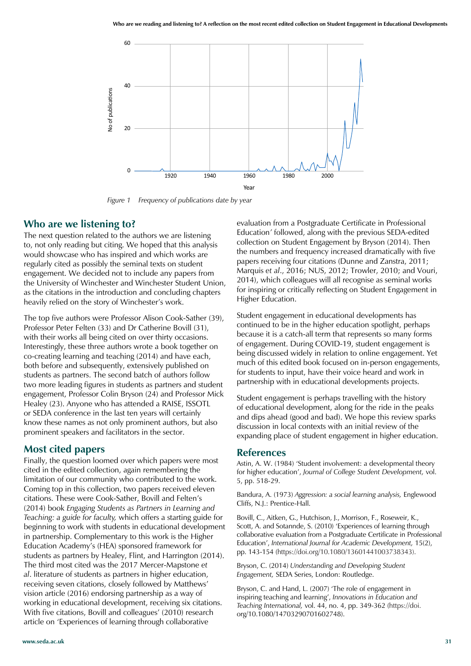

*Figure 1 Frequency of publications date by year*

#### **Who are we listening to?**

The next question related to the authors we are listening to, not only reading but citing. We hoped that this analysis would showcase who has inspired and which works are regularly cited as possibly the seminal texts on student engagement. We decided not to include any papers from the University of Winchester and Winchester Student Union, as the citations in the introduction and concluding chapters heavily relied on the story of Winchester's work.

The top five authors were Professor Alison Cook-Sather (39), Professor Peter Felten (33) and Dr Catherine Bovill (31), with their works all being cited on over thirty occasions. Interestingly, these three authors wrote a book together on co-creating learning and teaching (2014) and have each, both before and subsequently, extensively published on students as partners. The second batch of authors follow two more leading figures in students as partners and student engagement, Professor Colin Bryson (24) and Professor Mick Healey (23). Anyone who has attended a RAISE, ISSOTL or SEDA conference in the last ten years will certainly know these names as not only prominent authors, but also prominent speakers and facilitators in the sector.

#### **Most cited papers**

Finally, the question loomed over which papers were most cited in the edited collection, again remembering the limitation of our community who contributed to the work. Coming top in this collection, two papers received eleven citations. These were Cook-Sather, Bovill and Felten's (2014) book *Engaging Students as Partners in Learning and Teaching: a guide for faculty,* which offers a starting guide for beginning to work with students in educational development in partnership. Complementary to this work is the Higher Education Academy's (HEA) sponsored framework for students as partners by Healey, Flint, and Harrington (2014). The third most cited was the 2017 Mercer-Mapstone *et al*. literature of students as partners in higher education, receiving seven citations, closely followed by Matthews' vision article (2016) endorsing partnership as a way of working in educational development, receiving six citations. With five citations, Bovill and colleagues' (2010) research article on 'Experiences of learning through collaborative

evaluation from a Postgraduate Certificate in Professional Education*'* followed, along with the previous SEDA-edited collection on Student Engagement by Bryson (2014). Then the numbers and frequency increased dramatically with five papers receiving four citations (Dunne and Zanstra, 2011; Marquis *et al*., 2016; NUS, 2012; Trowler, 2010; and Vouri, 2014), which colleagues will all recognise as seminal works for inspiring or critically reflecting on Student Engagement in Higher Education.

Student engagement in educational developments has continued to be in the higher education spotlight, perhaps because it is a catch-all term that represents so many forms of engagement. During COVID-19, student engagement is being discussed widely in relation to online engagement. Yet much of this edited book focused on in-person engagements, for students to input, have their voice heard and work in partnership with in educational developments projects.

Student engagement is perhaps travelling with the history of educational development, along for the ride in the peaks and dips ahead (good and bad). We hope this review sparks discussion in local contexts with an initial review of the expanding place of student engagement in higher education.

#### **References**

Astin, A. W. (1984) 'Student involvement: a developmental theory for higher education', *Journal of College Student Development,* vol. 5, pp. 518-29.

Bandura, A. (1973) *Aggression: a social learning analysis,* Englewood Cliffs, N.J.: Prentice-Hall.

Bovill, C., Aitken, G., Hutchison, J., Morrison, F., Roseweir, K., Scott, A. and Sotannde, S. (2010) 'Experiences of learning through collaborative evaluation from a Postgraduate Certificate in Professional Education', *International Journal for Academic Development,* 15(2), pp. 143-154 (https://doi.org/10.1080/13601441003738343).

Bryson, C. (2014) *Understanding and Developing Student Engagement,* SEDA Series, London: Routledge.

Bryson, C. and Hand, L. (2007) 'The role of engagement in inspiring teaching and learning', *Innovations in Education and Teaching International,* vol. 44, no. 4, pp. 349-362 (https://doi. org/10.1080/14703290701602748).